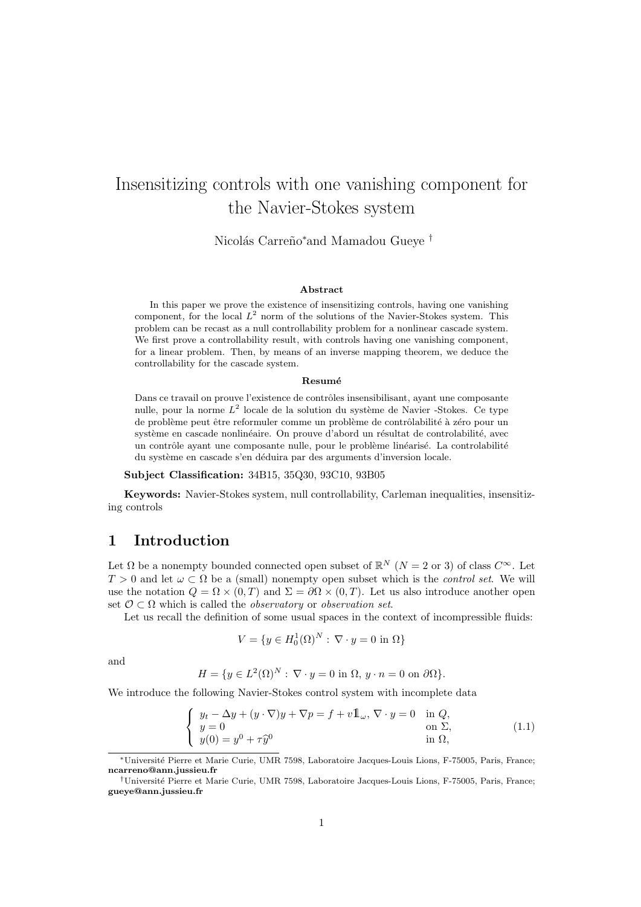# Insensitizing controls with one vanishing component for the Navier-Stokes system

Nicolás Carreño<sup>∗</sup>and Mamadou Gueye <sup>†</sup>

#### Abstract

In this paper we prove the existence of insensitizing controls, having one vanishing component, for the local  $L^2$  norm of the solutions of the Navier-Stokes system. This problem can be recast as a null controllability problem for a nonlinear cascade system. We first prove a controllability result, with controls having one vanishing component, for a linear problem. Then, by means of an inverse mapping theorem, we deduce the controllability for the cascade system.

#### Resumé

Dans ce travail on prouve l'existence de contrôles insensibilisant, ayant une composante nulle, pour la norme  $L^2$  locale de la solution du système de Navier -Stokes. Ce type de problème peut être reformuler comme un problème de contrôlabilité à zéro pour un système en cascade nonlinéaire. On prouve d'abord un résultat de controlabilité, avec un contrôle ayant une composante nulle, pour le problème linéarisé. La controlabilité du système en cascade s'en déduira par des arguments d'inversion locale.

#### Subject Classification: 34B15, 35Q30, 93C10, 93B05

Keywords: Navier-Stokes system, null controllability, Carleman inequalities, insensitizing controls

# 1 Introduction

Let  $\Omega$  be a nonempty bounded connected open subset of  $\mathbb{R}^N$   $(N = 2 \text{ or } 3)$  of class  $C^{\infty}$ . Let  $T > 0$  and let  $\omega \subset \Omega$  be a (small) nonempty open subset which is the *control set*. We will use the notation  $Q = \Omega \times (0,T)$  and  $\Sigma = \partial \Omega \times (0,T)$ . Let us also introduce another open set  $\mathcal{O} \subset \Omega$  which is called the *observatory* or *observation set*.

Let us recall the definition of some usual spaces in the context of incompressible fluids:

$$
V = \{ y \in H_0^1(\Omega)^N : \nabla \cdot y = 0 \text{ in } \Omega \}
$$

and

$$
H = \{ y \in L^{2}(\Omega)^{N} : \nabla \cdot y = 0 \text{ in } \Omega, y \cdot n = 0 \text{ on } \partial \Omega \}.
$$

We introduce the following Navier-Stokes control system with incomplete data

$$
\begin{cases}\ny_t - \Delta y + (y \cdot \nabla)y + \nabla p = f + v \mathbb{1}_{\omega}, \nabla \cdot y = 0 \text{ in } Q, \\
y = 0 \text{ on } \Sigma, \\
y(0) = y^0 + \tau \hat{y}^0 \text{ in } \Omega,\n\end{cases}
$$
\n(1.1)

<sup>∗</sup>Universit´e Pierre et Marie Curie, UMR 7598, Laboratoire Jacques-Louis Lions, F-75005, Paris, France; ncarreno@ann.jussieu.fr

<sup>†</sup>Universit´e Pierre et Marie Curie, UMR 7598, Laboratoire Jacques-Louis Lions, F-75005, Paris, France; gueye@ann.jussieu.fr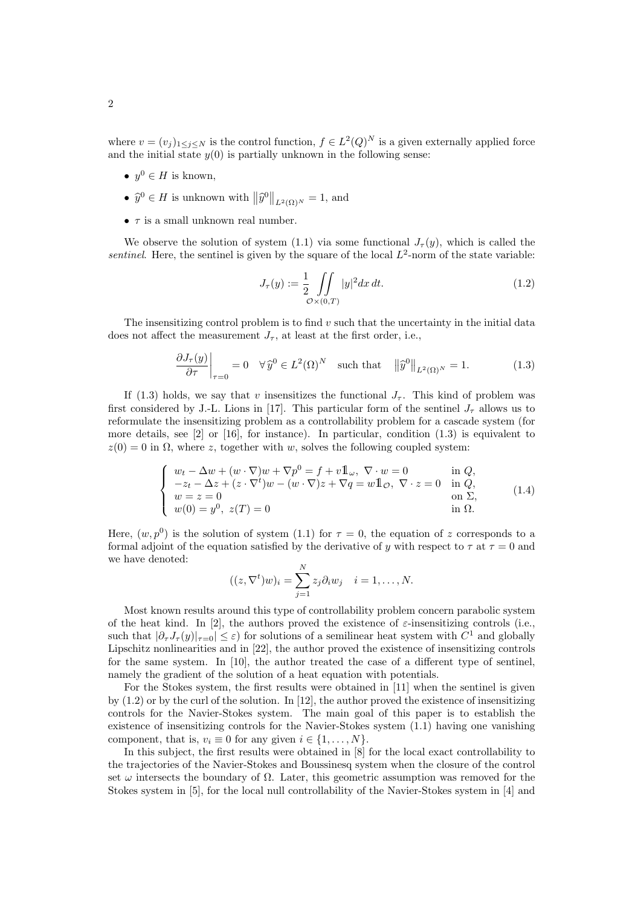where  $v = (v_j)_{1 \leq j \leq N}$  is the control function,  $f \in L^2(Q)^N$  is a given externally applied force and the initial state  $y(0)$  is partially unknown in the following sense:

- $y^0 \in H$  is known,
- $\hat{y}^0 \in H$  is unknown with  $\|\hat{y}^0\|_{L^2(\Omega)^N} = 1$ , and
- $\tau$  is a small unknown real number.

We observe the solution of system (1.1) via some functional  $J_{\tau}(y)$ , which is called the sentinel. Here, the sentinel is given by the square of the local  $L^2$ -norm of the state variable:

$$
J_{\tau}(y) := \frac{1}{2} \iint_{\mathcal{O} \times (0,T)} |y|^2 dx dt.
$$
 (1.2)

The insensitizing control problem is to find  $v$  such that the uncertainty in the initial data does not affect the measurement  $J_{\tau}$ , at least at the first order, i.e.,

$$
\frac{\partial J_{\tau}(y)}{\partial \tau}\bigg|_{\tau=0} = 0 \quad \forall \,\hat{y}^{0} \in L^{2}(\Omega)^{N} \quad \text{such that} \quad \left\|\hat{y}^{0}\right\|_{L^{2}(\Omega)^{N}} = 1. \tag{1.3}
$$

If (1.3) holds, we say that v insensitizes the functional  $J_{\tau}$ . This kind of problem was first considered by J.-L. Lions in [17]. This particular form of the sentinel  $J_{\tau}$  allows us to reformulate the insensitizing problem as a controllability problem for a cascade system (for more details, see [2] or [16], for instance). In particular, condition (1.3) is equivalent to  $z(0) = 0$  in  $\Omega$ , where z, together with w, solves the following coupled system:

$$
\begin{cases}\nw_t - \Delta w + (w \cdot \nabla)w + \nabla p^0 = f + v \mathbb{1}_{\omega}, \ \nabla \cdot w = 0 & \text{in } Q, \\
-z_t - \Delta z + (z \cdot \nabla^t)w - (w \cdot \nabla)z + \nabla q = w \mathbb{1}_{\mathcal{O}}, \ \nabla \cdot z = 0 & \text{in } Q, \\
w = z = 0 & \text{on } \Sigma, \\
w(0) = y^0, \ z(T) = 0 & \text{in } \Omega.\n\end{cases}
$$
\n(1.4)

Here,  $(w, p^0)$  is the solution of system (1.1) for  $\tau = 0$ , the equation of z corresponds to a formal adjoint of the equation satisfied by the derivative of y with respect to  $\tau$  at  $\tau = 0$  and we have denoted:

$$
((z, \nabla^t)w)_i = \sum_{j=1}^N z_j \partial_i w_j \quad i = 1, \dots, N.
$$

Most known results around this type of controllability problem concern parabolic system of the heat kind. In [2], the authors proved the existence of  $\varepsilon$ -insensitizing controls (i.e., such that  $|\partial_\tau J_\tau(y)|_{\tau=0} \leq \varepsilon$ ) for solutions of a semilinear heat system with  $C^1$  and globally Lipschitz nonlinearities and in [22], the author proved the existence of insensitizing controls for the same system. In [10], the author treated the case of a different type of sentinel, namely the gradient of the solution of a heat equation with potentials.

For the Stokes system, the first results were obtained in [11] when the sentinel is given by  $(1.2)$  or by the curl of the solution. In [12], the author proved the existence of insensitizing controls for the Navier-Stokes system. The main goal of this paper is to establish the existence of insensitizing controls for the Navier-Stokes system (1.1) having one vanishing component, that is,  $v_i \equiv 0$  for any given  $i \in \{1, \ldots, N\}$ .

In this subject, the first results were obtained in [8] for the local exact controllability to the trajectories of the Navier-Stokes and Boussinesq system when the closure of the control set  $\omega$  intersects the boundary of  $\Omega$ . Later, this geometric assumption was removed for the Stokes system in [5], for the local null controllability of the Navier-Stokes system in [4] and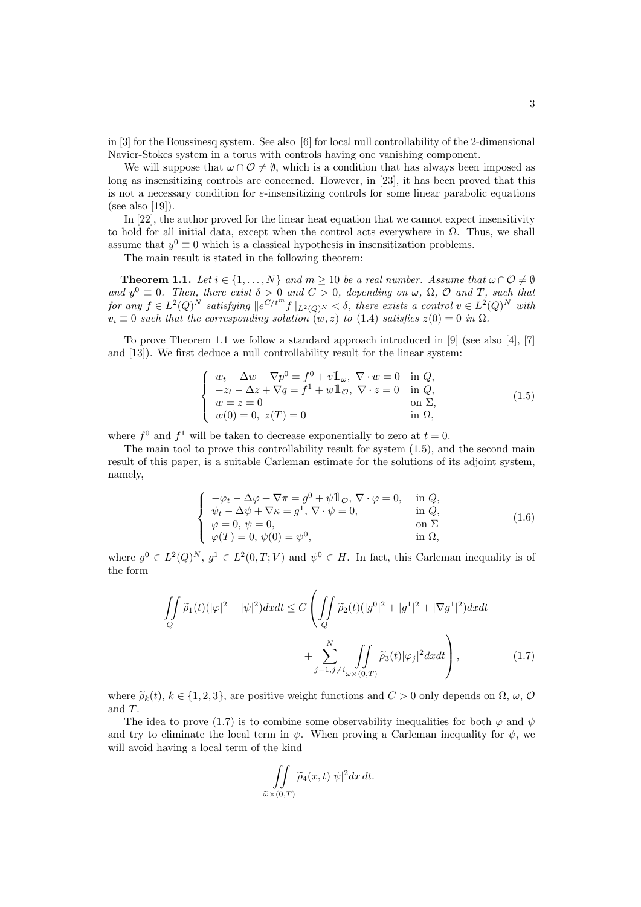in [3] for the Boussinesq system. See also [6] for local null controllability of the 2-dimensional Navier-Stokes system in a torus with controls having one vanishing component.

We will suppose that  $\omega \cap \mathcal{O} \neq \emptyset$ , which is a condition that has always been imposed as long as insensitizing controls are concerned. However, in [23], it has been proved that this is not a necessary condition for  $\varepsilon$ -insensitizing controls for some linear parabolic equations (see also [19]).

In [22], the author proved for the linear heat equation that we cannot expect insensitivity to hold for all initial data, except when the control acts everywhere in  $\Omega$ . Thus, we shall assume that  $y^0 \equiv 0$  which is a classical hypothesis in insensitization problems.

The main result is stated in the following theorem:

**Theorem 1.1.** Let  $i \in \{1, ..., N\}$  and  $m \geq 10$  be a real number. Assume that  $\omega \cap \mathcal{O} \neq \emptyset$ and  $y^0 \equiv 0$ . Then, there exist  $\delta > 0$  and  $C > 0$ , depending on  $\omega$ ,  $\Omega$ ,  $\mathcal{O}$  and T, such that  $for any f \in L^2(Q)^N$  satisfying  $||e^{C/t^m}f||_{L^2(Q)^N} < \delta$ , there exists a control  $v \in L^2(Q)^N$  with  $v_i \equiv 0$  such that the corresponding solution  $(w, z)$  to (1.4) satisfies  $z(0) = 0$  in  $\Omega$ .

To prove Theorem 1.1 we follow a standard approach introduced in [9] (see also [4], [7] and [13]). We first deduce a null controllability result for the linear system:

$$
\begin{cases}\nw_t - \Delta w + \nabla p^0 = f^0 + v \mathbb{1}_{\omega}, \ \nabla \cdot w = 0 & \text{in } Q, \\
-z_t - \Delta z + \nabla q = f^1 + w \mathbb{1}_{\mathcal{O}}, \ \nabla \cdot z = 0 & \text{in } Q, \\
w = z = 0 & \text{on } \Sigma, \\
w(0) = 0, \ z(T) = 0 & \text{in } \Omega,\n\end{cases}
$$
\n(1.5)

where  $f^0$  and  $f^1$  will be taken to decrease exponentially to zero at  $t = 0$ .

The main tool to prove this controllability result for system (1.5), and the second main result of this paper, is a suitable Carleman estimate for the solutions of its adjoint system, namely,

$$
\begin{cases}\n-\varphi_t - \Delta \varphi + \nabla \pi = g^0 + \psi \mathbb{1}_{\mathcal{O}}, \nabla \cdot \varphi = 0, & \text{in } Q, \\
\psi_t - \Delta \psi + \nabla \kappa = g^1, \nabla \cdot \psi = 0, & \text{in } Q, \\
\varphi = 0, \psi = 0, & \text{on } \Sigma \\
\varphi(T) = 0, \psi(0) = \psi^0, & \text{in } \Omega,\n\end{cases}
$$
\n(1.6)

where  $g^0 \in L^2(Q)^N$ ,  $g^1 \in L^2(0,T;V)$  and  $\psi^0 \in H$ . In fact, this Carleman inequality is of the form

$$
\iint_{Q} \widetilde{\rho}_1(t)(|\varphi|^2 + |\psi|^2)dxdt \le C\left(\iint_{Q} \widetilde{\rho}_2(t)(|g^0|^2 + |g^1|^2 + |\nabla g^1|^2)dxdt + \sum_{j=1, j\neq i}^N \iint_{\omega \times (0,T)} \widetilde{\rho}_3(t)|\varphi_j|^2dxdt\right),
$$
\n(1.7)

where  $\widetilde{\rho}_k(t)$ ,  $k \in \{1, 2, 3\}$ , are positive weight functions and  $C > 0$  only depends on  $\Omega$ ,  $\omega$ ,  $\mathcal{O}$ and T.

The idea to prove (1.7) is to combine some observability inequalities for both  $\varphi$  and  $\psi$ and try to eliminate the local term in  $\psi$ . When proving a Carleman inequality for  $\psi$ , we will avoid having a local term of the kind

$$
\iint\limits_{\widetilde{\omega}\times(0,T)} \widetilde{\rho}_4(x,t)|\psi|^2 dx\,dt.
$$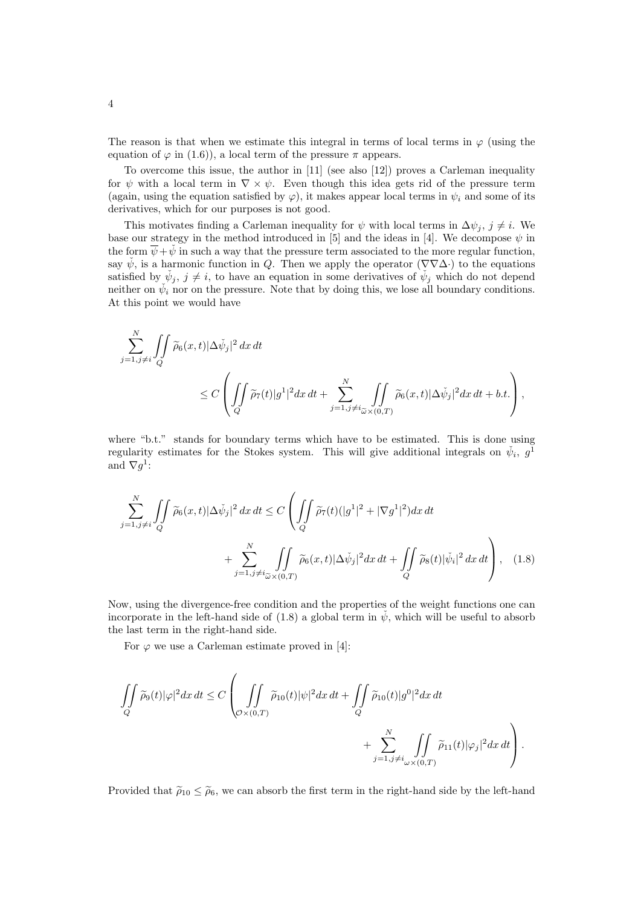The reason is that when we estimate this integral in terms of local terms in  $\varphi$  (using the equation of  $\varphi$  in (1.6)), a local term of the pressure  $\pi$  appears.

To overcome this issue, the author in [11] (see also [12]) proves a Carleman inequality for  $\psi$  with a local term in  $\nabla \times \psi$ . Even though this idea gets rid of the pressure term (again, using the equation satisfied by  $\varphi$ ), it makes appear local terms in  $\psi_i$  and some of its derivatives, which for our purposes is not good.

This motivates finding a Carleman inequality for  $\psi$  with local terms in  $\Delta \psi_i$ ,  $j \neq i$ . We base our strategy in the method introduced in [5] and the ideas in [4]. We decompose  $\psi$  in the form  $\overline{\psi}+\check{\psi}$  in such a way that the pressure term associated to the more regular function, say  $\check{\psi}$ , is a harmonic function in Q. Then we apply the operator  $(\nabla \nabla \Delta \cdot)$  to the equations satisfied by  $\check{\psi}_j, j \neq i$ , to have an equation in some derivatives of  $\check{\psi}_j$  which do not depend neither on  $\check{\psi}_i$  nor on the pressure. Note that by doing this, we lose all boundary conditions. At this point we would have

$$
\begin{split} \sum_{j=1,j\neq i}^N & \iint\limits_Q \widetilde{\rho}_6(x,t)|\Delta \check{\psi}_j|^2\,dx\,dt \\ & \leq C\left(\iint\limits_Q \widetilde{\rho}_7(t)|g^1|^2dx\,dt + \sum_{j=1,j\neq i}^N \iint\limits_{\widetilde{\omega}\times (0,T)} \widetilde{\rho}_6(x,t)|\Delta \check{\psi}_j|^2dx\,dt + b.t.\right), \end{split}
$$

where "b.t." stands for boundary terms which have to be estimated. This is done using regularity estimates for the Stokes system. This will give additional integrals on  $\check{\psi}_i$ ,  $g^{\bar{1}}$ and  $\nabla g^1$ :

$$
\sum_{j=1,j\neq i}^{N} \iint_{Q} \widetilde{\rho}_6(x,t) |\Delta \check{\psi}_j|^2 dx dt \leq C \left( \iint_{Q} \widetilde{\rho}_7(t) (|g^1|^2 + |\nabla g^1|^2) dx dt + \sum_{j=1,j\neq i}^{N} \iint_{\widetilde{\omega} \times (0,T)} \widetilde{\rho}_6(x,t) |\Delta \check{\psi}_j|^2 dx dt + \iint_{Q} \widetilde{\rho}_8(t) |\check{\psi}_i|^2 dx dt \right), \quad (1.8)
$$

Now, using the divergence-free condition and the properties of the weight functions one can incorporate in the left-hand side of (1.8) a global term in  $\psi$ , which will be useful to absorb the last term in the right-hand side.

For  $\varphi$  we use a Carleman estimate proved in [4]:

$$
\iint\limits_{Q} \widetilde{\rho}_9(t)|\varphi|^2 dx\,dt \leq C\left(\iint\limits_{\mathcal{O}\times(0,T)} \widetilde{\rho}_{10}(t)|\psi|^2 dx\,dt + \iint\limits_{Q} \widetilde{\rho}_{10}(t)|g^0|^2 dx\,dt + \sum\limits_{j=1,j\neq i_{\omega}\times(0,T)}^N \iint\limits_{\mathcal{O}\times(0,T)} \widetilde{\rho}_{11}(t)|\varphi_j|^2 dx\,dt\right).
$$

Provided that  $\tilde{\rho}_{10} \leq \tilde{\rho}_6$ , we can absorb the first term in the right-hand side by the left-hand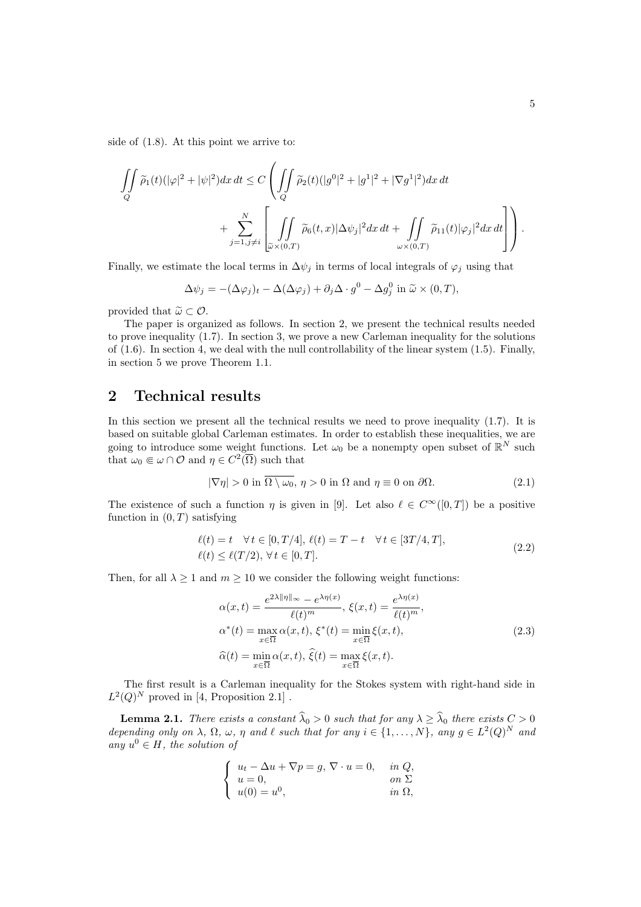side of (1.8). At this point we arrive to:

$$
\iint\limits_{Q} \widetilde{\rho}_1(t)(|\varphi|^2 + |\psi|^2) dx dt \le C \left( \iint\limits_{Q} \widetilde{\rho}_2(t)(|g^0|^2 + |g^1|^2 + |\nabla g^1|^2) dx dt + \sum\limits_{j=1, j\neq i}^N \left[ \iint\limits_{\widetilde{\omega}\times(0,T)} \widetilde{\rho}_6(t,x) |\Delta \psi_j|^2 dx dt + \iint\limits_{\omega\times(0,T)} \widetilde{\rho}_{11}(t) |\varphi_j|^2 dx dt \right] \right).
$$

Finally, we estimate the local terms in  $\Delta \psi_j$  in terms of local integrals of  $\varphi_j$  using that

$$
\Delta \psi_j = -(\Delta \varphi_j)_t - \Delta (\Delta \varphi_j) + \partial_j \Delta \cdot g^0 - \Delta g^0_j \text{ in } \widetilde{\omega} \times (0, T),
$$

provided that  $\widetilde{\omega} \subset \mathcal{O}$ .

The paper is organized as follows. In section 2, we present the technical results needed to prove inequality (1.7). In section 3, we prove a new Carleman inequality for the solutions of  $(1.6)$ . In section 4, we deal with the null controllability of the linear system  $(1.5)$ . Finally, in section 5 we prove Theorem 1.1.

# 2 Technical results

In this section we present all the technical results we need to prove inequality (1.7). It is based on suitable global Carleman estimates. In order to establish these inequalities, we are going to introduce some weight functions. Let  $\omega_0$  be a nonempty open subset of  $\mathbb{R}^N$  such that  $\omega_0 \in \omega \cap \mathcal{O}$  and  $\eta \in C^2(\overline{\Omega})$  such that

$$
|\nabla \eta| > 0 \text{ in } \overline{\Omega \setminus \omega_0}, \, \eta > 0 \text{ in } \Omega \text{ and } \eta \equiv 0 \text{ on } \partial \Omega. \tag{2.1}
$$

The existence of such a function  $\eta$  is given in [9]. Let also  $\ell \in C^{\infty}([0,T])$  be a positive function in  $(0, T)$  satisfying

$$
\ell(t) = t \quad \forall t \in [0, T/4], \ \ell(t) = T - t \quad \forall t \in [3T/4, T],
$$
  

$$
\ell(t) \le \ell(T/2), \ \forall t \in [0, T].
$$
 (2.2)

Then, for all  $\lambda \geq 1$  and  $m \geq 10$  we consider the following weight functions:

$$
\alpha(x,t) = \frac{e^{2\lambda \|\eta\|_{\infty}} - e^{\lambda \eta(x)}}{\ell(t)^m}, \xi(x,t) = \frac{e^{\lambda \eta(x)}}{\ell(t)^m},
$$
  
\n
$$
\alpha^*(t) = \max_{x \in \overline{\Omega}} \alpha(x,t), \xi^*(t) = \min_{x \in \overline{\Omega}} \xi(x,t),
$$
  
\n
$$
\widehat{\alpha}(t) = \min_{x \in \overline{\Omega}} \alpha(x,t), \widehat{\xi}(t) = \max_{x \in \overline{\Omega}} \xi(x,t).
$$
\n(2.3)

The first result is a Carleman inequality for the Stokes system with right-hand side in  $L^2(Q)^N$  proved in [4, Proposition 2.1].

**Lemma 2.1.** There exists a constant  $\widehat{\lambda}_0 > 0$  such that for any  $\lambda \geq \widehat{\lambda}_0$  there exists  $C > 0$ depending only on  $\lambda$ ,  $\Omega$ ,  $\omega$ ,  $\eta$  and  $\ell$  such that for any  $i \in \{1, ..., N\}$ , any  $g \in L^2(Q)^N$  and any  $u^0 \in H$ , the solution of

$$
\begin{cases}\n u_t - \Delta u + \nabla p = g, \, \nabla \cdot u = 0, & \text{in } Q, \\
 u = 0, & \text{on } \Sigma \\
 u(0) = u^0, & \text{in } \Omega,\n\end{cases}
$$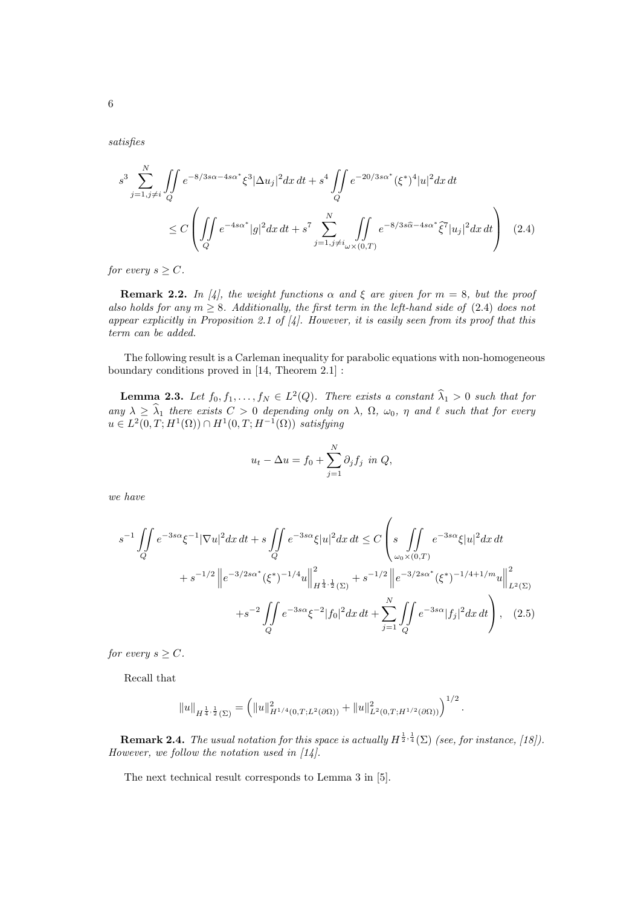satisfies

$$
s^{3} \sum_{j=1, j\neq i}^{N} \iint_{Q} e^{-8/3s\alpha - 4s\alpha^{*}} \xi^{3} |\Delta u_{j}|^{2} dx dt + s^{4} \iint_{Q} e^{-20/3s\alpha^{*}} (\xi^{*})^{4} |u|^{2} dx dt
$$
  

$$
\leq C \left( \iint_{Q} e^{-4s\alpha^{*}} |g|^{2} dx dt + s^{7} \sum_{j=1, j\neq i}^{N} \iint_{\omega \times (0,T)} e^{-8/3s\widehat{\alpha} - 4s\alpha^{*}} \widehat{\xi}^{7} |u_{j}|^{2} dx dt \right) (2.4)
$$

for every  $s \geq C$ .

**Remark 2.2.** In [4], the weight functions  $\alpha$  and  $\xi$  are given for  $m = 8$ , but the proof also holds for any  $m \geq 8$ . Additionally, the first term in the left-hand side of (2.4) does not appear explicitly in Proposition 2.1 of  $\vert A \vert$ . However, it is easily seen from its proof that this term can be added.

The following result is a Carleman inequality for parabolic equations with non-homogeneous boundary conditions proved in [14, Theorem 2.1] :

**Lemma 2.3.** Let  $f_0, f_1, \ldots, f_N \in L^2(Q)$ . There exists a constant  $\hat{\lambda}_1 > 0$  such that for any  $\lambda \geq \lambda_1$  there exists  $C > 0$  depending only on  $\lambda$ ,  $\Omega$ ,  $\omega_0$ ,  $\eta$  and  $\ell$  such that for every  $u \in L^2(0,T;H^1(\Omega)) \cap H^1(0,T;H^{-1}(\Omega))$  satisfying

$$
u_t - \Delta u = f_0 + \sum_{j=1}^N \partial_j f_j \text{ in } Q,
$$

we have

$$
s^{-1} \iint_{Q} e^{-3s\alpha} \xi^{-1} |\nabla u|^2 dx dt + s \iint_{Q} e^{-3s\alpha} \xi |u|^2 dx dt \leq C \left( s \iint_{\omega_0 \times (0,T)} e^{-3s\alpha} \xi |u|^2 dx dt + s^{-1/2} \left\| e^{-3/2s\alpha^*} (\xi^*)^{-1/4} u \right\|_{H^{\frac{1}{4},\frac{1}{2}}(\Sigma)}^2 + s^{-1/2} \left\| e^{-3/2s\alpha^*} (\xi^*)^{-1/4+1/m} u \right\|_{L^2(\Sigma)}^2 + s^{-2} \iint_{Q} e^{-3s\alpha} \xi^{-2} |f_0|^2 dx dt + \sum_{j=1}^N \iint_{Q} e^{-3s\alpha} |f_j|^2 dx dt \right), \quad (2.5)
$$

for every  $s \geq C$ .

Recall that

$$
||u||_{H^{\frac{1}{4},\frac{1}{2}}(\Sigma)} = (||u||_{H^{1/4}(0,T;L^2(\partial\Omega))}^2 + ||u||_{L^2(0,T;H^{1/2}(\partial\Omega))}^2)^{1/2}.
$$

**Remark 2.4.** The usual notation for this space is actually  $H^{\frac{1}{2},\frac{1}{4}}(\Sigma)$  (see, for instance, [18]). However, we follow the notation used in  $[14]$ .

The next technical result corresponds to Lemma 3 in [5].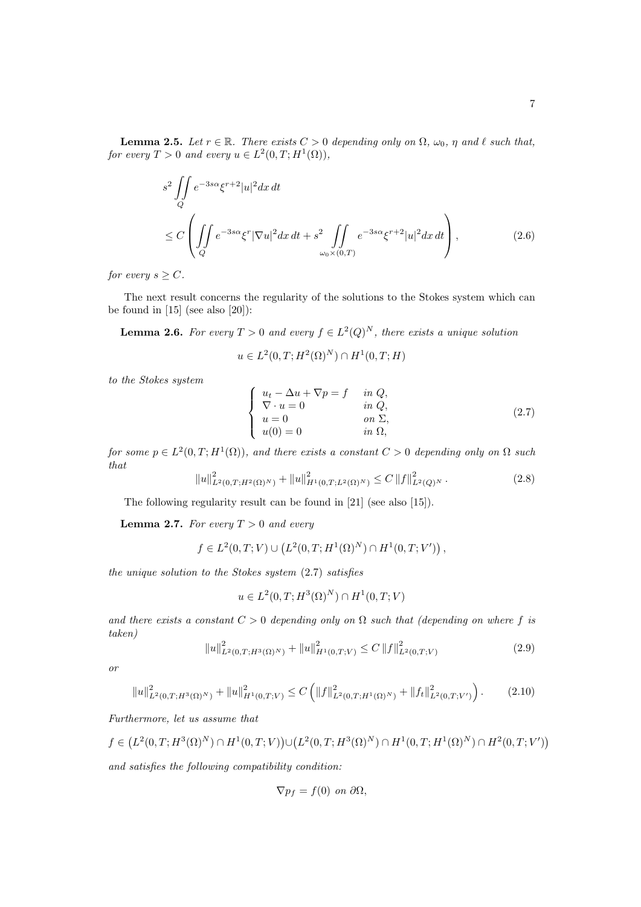**Lemma 2.5.** Let  $r \in \mathbb{R}$ . There exists  $C > 0$  depending only on  $\Omega$ ,  $\omega_0$ ,  $\eta$  and  $\ell$  such that, for every  $T > 0$  and every  $u \in L^2(0,T;H^1(\Omega)),$ 

$$
s^{2} \iint_{Q} e^{-3s\alpha} \xi^{r+2} |u|^{2} dx dt
$$
  
\n
$$
\leq C \left( \iint_{Q} e^{-3s\alpha} \xi^{r} |\nabla u|^{2} dx dt + s^{2} \iint_{\omega_{0} \times (0,T)} e^{-3s\alpha} \xi^{r+2} |u|^{2} dx dt \right),
$$
\n(2.6)

for every  $s \geq C$ .

The next result concerns the regularity of the solutions to the Stokes system which can be found in  $[15]$  (see also  $[20]$ ):

**Lemma 2.6.** For every  $T > 0$  and every  $f \in L^2(Q)^N$ , there exists a unique solution

$$
u \in L^2(0,T;H^2(\Omega)^N) \cap H^1(0,T;H)
$$

to the Stokes system

$$
\begin{cases}\n u_t - \Delta u + \nabla p = f & \text{in } Q, \\
 \nabla \cdot u = 0 & \text{in } Q, \\
 u = 0 & \text{on } \Sigma, \\
 u(0) = 0 & \text{in } \Omega,\n\end{cases}
$$
\n(2.7)

for some  $p \in L^2(0,T;H^1(\Omega))$ , and there exists a constant  $C > 0$  depending only on  $\Omega$  such that

$$
||u||_{L^{2}(0,T;H^{2}(\Omega)^{N})}^{2} + ||u||_{H^{1}(0,T;L^{2}(\Omega)^{N})}^{2} \leq C ||f||_{L^{2}(Q)^{N}}^{2}. \tag{2.8}
$$

The following regularity result can be found in [21] (see also [15]).

**Lemma 2.7.** For every  $T > 0$  and every

$$
f \in L^{2}(0,T;V) \cup (L^{2}(0,T;H^{1}(\Omega)^{N}) \cap H^{1}(0,T;V')) ,
$$

the unique solution to the Stokes system (2.7) satisfies

$$
u \in L^{2}(0,T; H^{3}(\Omega)^{N}) \cap H^{1}(0,T; V)
$$

and there exists a constant  $C > 0$  depending only on  $\Omega$  such that (depending on where f is taken)

$$
||u||_{L^{2}(0,T;H^{3}(\Omega)^{N})}^{2} + ||u||_{H^{1}(0,T;V)}^{2} \leq C ||f||_{L^{2}(0,T;V)}^{2}
$$
\n(2.9)

or

$$
||u||_{L^{2}(0,T;H^{3}(\Omega)^{N})}^{2} + ||u||_{H^{1}(0,T;V)}^{2} \leq C\left(||f||_{L^{2}(0,T;H^{1}(\Omega)^{N})}^{2} + ||f_{t}||_{L^{2}(0,T;V')}^{2}\right).
$$
 (2.10)

Furthermore, let us assume that

$$
f \in (L^2(0,T;H^3(\Omega)^N) \cap H^1(0,T;V)) \cup (L^2(0,T;H^3(\Omega)^N) \cap H^1(0,T;H^1(\Omega)^N) \cap H^2(0,T;V'))
$$

and satisfies the following compatibility condition:

$$
\nabla p_f = f(0) \text{ on } \partial \Omega,
$$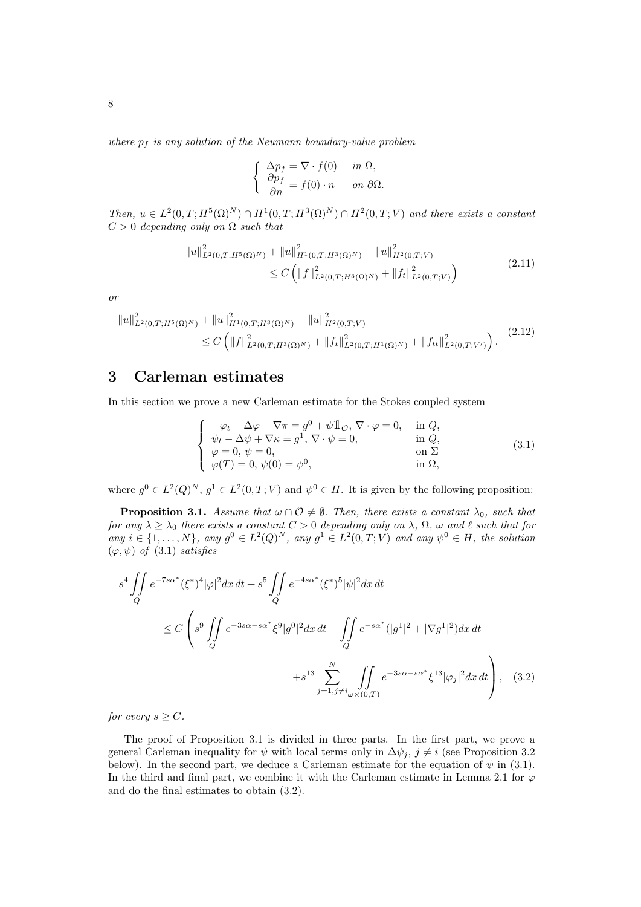where  $p_f$  is any solution of the Neumann boundary-value problem

$$
\begin{cases}\n\Delta p_f = \nabla \cdot f(0) & \text{in } \Omega, \\
\frac{\partial p_f}{\partial n} = f(0) \cdot n & \text{on } \partial \Omega.\n\end{cases}
$$

Then,  $u \in L^2(0,T;H^5(\Omega)^N) \cap H^1(0,T;H^3(\Omega)^N) \cap H^2(0,T;V)$  and there exists a constant  $C > 0$  depending only on  $\Omega$  such that

$$
||u||_{L^{2}(0,T;H^{5}(\Omega)^{N})}^{2} + ||u||_{H^{1}(0,T;H^{3}(\Omega)^{N})}^{2} + ||u||_{H^{2}(0,T;V)}^{2}
$$
  
 
$$
\leq C \left( ||f||_{L^{2}(0,T;H^{3}(\Omega)^{N})}^{2} + ||f_{t}||_{L^{2}(0,T;V)}^{2} \right)
$$
(2.11)

or

$$
\|u\|_{L^{2}(0,T;H^{5}(\Omega)^{N})}^{2} + \|u\|_{H^{1}(0,T;H^{3}(\Omega)^{N})}^{2} + \|u\|_{H^{2}(0,T;V)}^{2}
$$
  
 
$$
\leq C \left( \|f\|_{L^{2}(0,T;H^{3}(\Omega)^{N})}^{2} + \|f_{t}\|_{L^{2}(0,T;H^{1}(\Omega)^{N})}^{2} + \|f_{tt}\|_{L^{2}(0,T;V')}^{2} \right).
$$
 (2.12)

# 3 Carleman estimates

In this section we prove a new Carleman estimate for the Stokes coupled system

$$
\begin{cases}\n-\varphi_t - \Delta \varphi + \nabla \pi = g^0 + \psi \mathbb{1}_{\mathcal{O}}, \nabla \cdot \varphi = 0, & \text{in } Q, \\
\psi_t - \Delta \psi + \nabla \kappa = g^1, \nabla \cdot \psi = 0, & \text{in } Q, \\
\varphi = 0, \psi = 0, & \text{on } \Sigma \\
\varphi(T) = 0, \psi(0) = \psi^0, & \text{in } \Omega,\n\end{cases}
$$
\n(3.1)

where  $g^0 \in L^2(Q)^N$ ,  $g^1 \in L^2(0,T;V)$  and  $\psi^0 \in H$ . It is given by the following proposition:

**Proposition 3.1.** Assume that  $\omega \cap \mathcal{O} \neq \emptyset$ . Then, there exists a constant  $\lambda_0$ , such that for any  $\lambda > \lambda_0$  there exists a constant  $C > 0$  depending only on  $\lambda$ ,  $\Omega$ ,  $\omega$  and  $\ell$  such that for any  $i \in \{1, ..., N\}$ , any  $g^0 \in L^2(Q)^N$ , any  $g^1 \in L^2(0,T;V)$  and any  $\psi^0 \in H$ , the solution  $(\varphi, \psi)$  of (3.1) satisfies

$$
s^{4} \iint_{Q} e^{-7s\alpha^{*}} (\xi^{*})^{4} |\varphi|^{2} dx dt + s^{5} \iint_{Q} e^{-4s\alpha^{*}} (\xi^{*})^{5} |\psi|^{2} dx dt
$$
  

$$
\leq C \left( s^{9} \iint_{Q} e^{-3s\alpha - s\alpha^{*}} \xi^{9} |g^{0}|^{2} dx dt + \iint_{Q} e^{-s\alpha^{*}} (|g^{1}|^{2} + |\nabla g^{1}|^{2}) dx dt + s^{13} \sum_{j=1, j \neq i_{\omega} \times (0,T)}^{N} \iint_{Q} e^{-3s\alpha - s\alpha^{*}} \xi^{13} |\varphi_{j}|^{2} dx dt \right), \quad (3.2)
$$

for every  $s \geq C$ .

The proof of Proposition 3.1 is divided in three parts. In the first part, we prove a general Carleman inequality for  $\psi$  with local terms only in  $\Delta \psi_j$ ,  $j \neq i$  (see Proposition 3.2) below). In the second part, we deduce a Carleman estimate for the equation of  $\psi$  in (3.1). In the third and final part, we combine it with the Carleman estimate in Lemma 2.1 for  $\varphi$ and do the final estimates to obtain (3.2).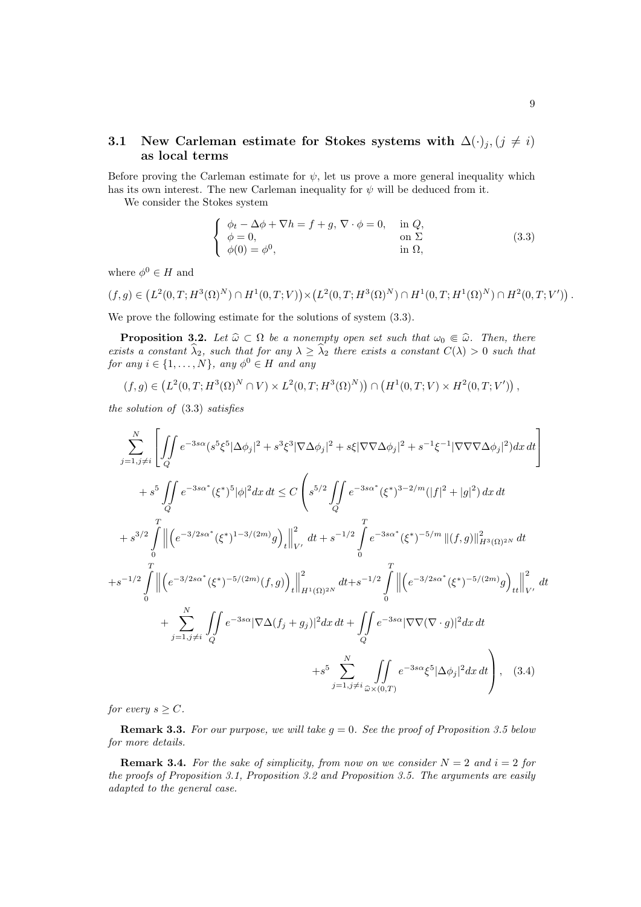### 3.1 New Carleman estimate for Stokes systems with  $\Delta(\cdot)_j$ ,  $(j \neq i)$ as local terms

Before proving the Carleman estimate for  $\psi$ , let us prove a more general inequality which has its own interest. The new Carleman inequality for  $\psi$  will be deduced from it.

We consider the Stokes system

$$
\begin{cases}\n\phi_t - \Delta \phi + \nabla h = f + g, \nabla \cdot \phi = 0, & \text{in } Q, \\
\phi = 0, & \text{on } \Sigma \\
\phi(0) = \phi^0, & \text{in } \Omega,\n\end{cases}
$$
\n(3.3)

where  $\phi^0 \in H$  and

$$
(f,g)\in (L^2(0,T;H^3(\Omega)^N)\cap H^1(0,T;V))\times (L^2(0,T;H^3(\Omega)^N)\cap H^1(0,T;H^1(\Omega)^N)\cap H^2(0,T;V')).
$$

We prove the following estimate for the solutions of system (3.3).

**Proposition 3.2.** Let  $\widehat{\omega} \subset \Omega$  be a nonempty open set such that  $\omega_0 \in \widehat{\omega}$ . Then, there exists a constant  $\hat{\lambda}_2$ , such that for any  $\lambda \geq \hat{\lambda}_2$  there exists a constant  $C(\lambda) > 0$  such that for any  $i \in \{1, ..., N\}$ , any  $\phi^0 \in H$  and any

$$
(f,g)\in (L^2(0,T;H^3(\Omega)^N\cap V)\times L^2(0,T;H^3(\Omega)^N))\cap (H^1(0,T;V)\times H^2(0,T;V'))\,,
$$

the solution of (3.3) satisfies

$$
\sum_{j=1,j\neq i}^{N} \left[ \iint_{Q} e^{-3s\alpha} (s^{5}\xi^{5} |\Delta\phi_{j}|^{2} + s^{3}\xi^{3} |\nabla\Delta\phi_{j}|^{2} + s\xi |\nabla\nabla\Delta\phi_{j}|^{2} + s^{-1}\xi^{-1} |\nabla\nabla\nabla\Delta\phi_{j}|^{2}) dx dt \right]
$$
  
+ $s^{5} \iint_{Q} e^{-3s\alpha^{*}} (\xi^{*})^{5} |\phi|^{2} dx dt \leq C \left( s^{5/2} \iint_{Q} e^{-3s\alpha^{*}} (\xi^{*})^{3-2/m} (|f|^{2} + |g|^{2}) dx dt \right)$   
+ $s^{3/2} \int_{0}^{T} \left\| \left( e^{-3/2s\alpha^{*}} (\xi^{*})^{1-3/(2m)} g \right)_{t} \right\|_{V'}^{2} dt + s^{-1/2} \int_{0}^{T} e^{-3s\alpha^{*}} (\xi^{*})^{-5/m} \left\| (f,g) \right\|_{H^{3}(\Omega)^{2N}}^{2} dt$   
+ $s^{-1/2} \int_{0}^{T} \left\| \left( e^{-3/2s\alpha^{*}} (\xi^{*})^{-5/(2m)} (f,g) \right)_{t} \right\|_{H^{1}(\Omega)^{2N}}^{2} dt + s^{-1/2} \int_{0}^{T} \left\| \left( e^{-3/2s\alpha^{*}} (\xi^{*})^{-5/(2m)} g \right)_{tt} \right\|_{V'}^{2} dt$   
+ $\sum_{j=1, j\neq i}^{N} \iint_{Q} e^{-3s\alpha} |\nabla\Delta(f_{j} + g_{j})|^{2} dx dt + \iint_{Q} e^{-3s\alpha} |\nabla\nabla(\nabla \cdot g)|^{2} dx dt$   
+ $s^{5} \sum_{j=1, j\neq i}^{N} \iint_{\tilde{\omega} \times (0,T)} e^{-3s\alpha} \xi^{5} |\Delta\phi_{j}|^{2} dx dt$  (3.4)

for every  $s \geq C$ .

**Remark 3.3.** For our purpose, we will take  $q = 0$ . See the proof of Proposition 3.5 below for more details.

**Remark 3.4.** For the sake of simplicity, from now on we consider  $N = 2$  and  $i = 2$  for the proofs of Proposition 3.1, Proposition 3.2 and Proposition 3.5. The arguments are easily adapted to the general case.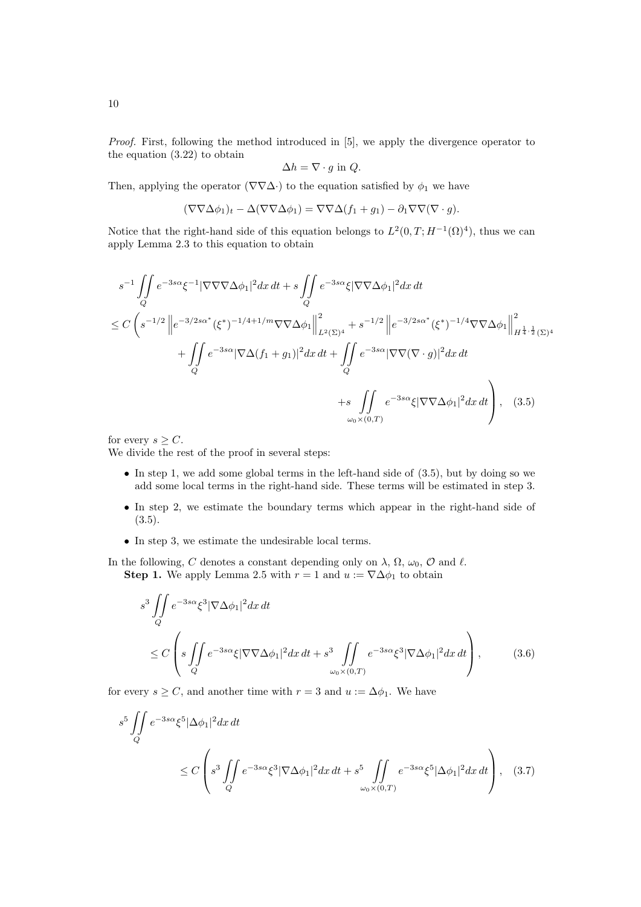Proof. First, following the method introduced in [5], we apply the divergence operator to the equation (3.22) to obtain

$$
\Delta h = \nabla \cdot g \text{ in } Q.
$$

Then, applying the operator ( $\nabla \nabla \Delta \cdot$ ) to the equation satisfied by  $\phi_1$  we have

$$
(\nabla \nabla \Delta \phi_1)_t - \Delta(\nabla \nabla \Delta \phi_1) = \nabla \nabla \Delta (f_1 + g_1) - \partial_1 \nabla \nabla (\nabla \cdot g).
$$

Notice that the right-hand side of this equation belongs to  $L^2(0,T;H^{-1}(\Omega)^4)$ , thus we can apply Lemma 2.3 to this equation to obtain

$$
s^{-1} \iint_{Q} e^{-3s\alpha} \xi^{-1} |\nabla \nabla \nabla \Delta \phi_{1}|^{2} dx dt + s \iint_{Q} e^{-3s\alpha} \xi |\nabla \nabla \Delta \phi_{1}|^{2} dx dt
$$
  
\n
$$
\leq C \left( s^{-1/2} \left\| e^{-3/2s\alpha^{*}} (\xi^{*})^{-1/4+1/m} \nabla \nabla \Delta \phi_{1} \right\|_{L^{2}(\Sigma)^{4}}^{2} + s^{-1/2} \left\| e^{-3/2s\alpha^{*}} (\xi^{*})^{-1/4} \nabla \nabla \Delta \phi_{1} \right\|_{H^{\frac{1}{4},\frac{1}{2}}(\Sigma)^{4}}^{2} + \iint_{Q} e^{-3s\alpha} |\nabla \Delta (f_{1} + g_{1})|^{2} dx dt + \iint_{Q} e^{-3s\alpha} |\nabla \nabla (\nabla \cdot g)|^{2} dx dt + s \iint_{\omega_{0} \times (0,T)} e^{-3s\alpha} \xi |\nabla \nabla \Delta \phi_{1}|^{2} dx dt \right), (3.5)
$$

for every  $s \geq C$ .

We divide the rest of the proof in several steps:

- $\bullet$  In step 1, we add some global terms in the left-hand side of  $(3.5)$ , but by doing so we add some local terms in the right-hand side. These terms will be estimated in step 3.
- In step 2, we estimate the boundary terms which appear in the right-hand side of  $(3.5).$
- In step 3, we estimate the undesirable local terms.

In the following, C denotes a constant depending only on  $\lambda$ ,  $\Omega$ ,  $\omega_0$ ,  $\mathcal O$  and  $\ell$ . **Step 1.** We apply Lemma 2.5 with  $r = 1$  and  $u := \nabla \Delta \phi_1$  to obtain

$$
s^3 \iint\limits_Q e^{-3s\alpha} \xi^3 |\nabla \Delta \phi_1|^2 dx dt
$$
  
\n
$$
\leq C \left( s \iint\limits_Q e^{-3s\alpha} \xi |\nabla \nabla \Delta \phi_1|^2 dx dt + s^3 \iint\limits_{\omega_0 \times (0,T)} e^{-3s\alpha} \xi^3 |\nabla \Delta \phi_1|^2 dx dt \right),
$$
 (3.6)

for every  $s \geq C$ , and another time with  $r = 3$  and  $u := \Delta \phi_1$ . We have

$$
s^5 \iint\limits_Q e^{-3s\alpha} \xi^5 |\Delta\phi_1|^2 dx dt
$$
  
 
$$
\leq C \left( s^3 \iint\limits_Q e^{-3s\alpha} \xi^3 |\nabla\Delta\phi_1|^2 dx dt + s^5 \iint\limits_{\omega_0 \times (0,T)} e^{-3s\alpha} \xi^5 |\Delta\phi_1|^2 dx dt \right), \quad (3.7)
$$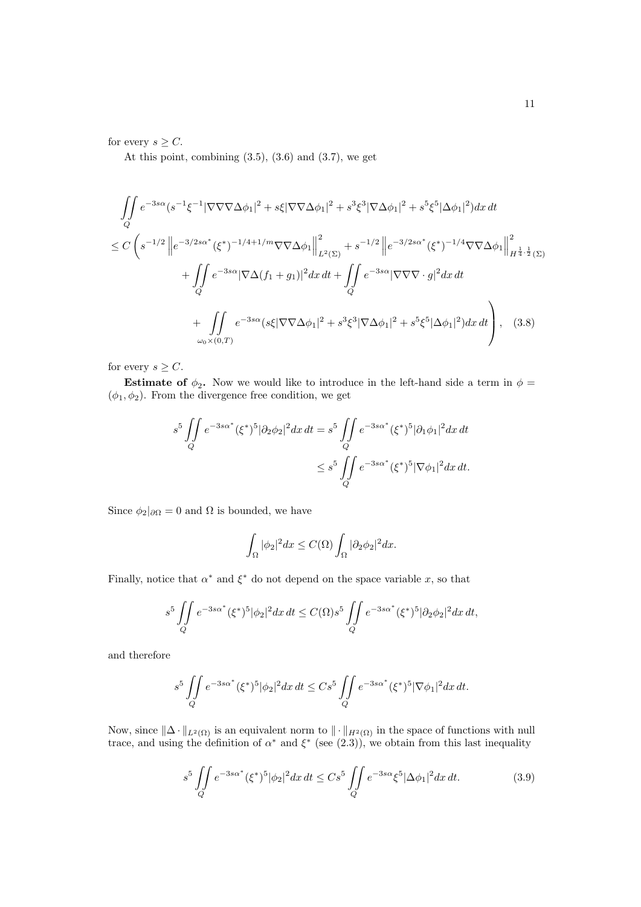for every  $s \geq C$ .

At this point, combining  $(3.5)$ ,  $(3.6)$  and  $(3.7)$ , we get

$$
\iint_{Q} e^{-3s\alpha} (s^{-1}\xi^{-1}|\nabla\nabla\nabla\Delta\phi_{1}|^{2} + s\xi|\nabla\nabla\Delta\phi_{1}|^{2} + s^{3}\xi^{3}|\nabla\Delta\phi_{1}|^{2} + s^{5}\xi^{5}|\Delta\phi_{1}|^{2})dx dt
$$
  
\n
$$
\leq C \left( s^{-1/2} \left\| e^{-3/2s\alpha^{*}} (\xi^{*})^{-1/4+1/m} \nabla\nabla\Delta\phi_{1} \right\|_{L^{2}(\Sigma)}^{2} + s^{-1/2} \left\| e^{-3/2s\alpha^{*}} (\xi^{*})^{-1/4} \nabla\nabla\Delta\phi_{1} \right\|_{H^{\frac{1}{4},\frac{1}{2}}(\Sigma)}^{2} + \iint_{Q} e^{-3s\alpha} |\nabla\Delta(f_{1} + g_{1})|^{2} dx dt + \iint_{Q} e^{-3s\alpha} |\nabla\nabla\nabla\cdot g|^{2} dx dt
$$
  
\n
$$
+ \iint_{\omega_{0} \times (0,T)} e^{-3s\alpha} (s\xi|\nabla\nabla\Delta\phi_{1}|^{2} + s^{3}\xi^{3}|\nabla\Delta\phi_{1}|^{2} + s^{5}\xi^{5}|\Delta\phi_{1}|^{2}) dx dt \right), \quad (3.8)
$$

for every  $s \geq C$ .

**Estimate of**  $\phi_2$ . Now we would like to introduce in the left-hand side a term in  $\phi$  =  $(\phi_1,\phi_2).$  From the divergence free condition, we get

$$
s^5 \iint\limits_{Q} e^{-3s\alpha^*} (\xi^*)^5 |\partial_2 \phi_2|^2 dx dt = s^5 \iint\limits_{Q} e^{-3s\alpha^*} (\xi^*)^5 |\partial_1 \phi_1|^2 dx dt
$$
  

$$
\leq s^5 \iint\limits_{Q} e^{-3s\alpha^*} (\xi^*)^5 |\nabla \phi_1|^2 dx dt.
$$

Since  $\phi_2|_{\partial\Omega} = 0$  and  $\Omega$  is bounded, we have

$$
\int_{\Omega} |\phi_2|^2 dx \le C(\Omega) \int_{\Omega} |\partial_2 \phi_2|^2 dx.
$$

Finally, notice that  $\alpha^*$  and  $\xi^*$  do not depend on the space variable x, so that

$$
s^5 \iint\limits_{Q} e^{-3s\alpha^*} (\xi^*)^5 |\phi_2|^2 dx \, dt \le C(\Omega) s^5 \iint\limits_{Q} e^{-3s\alpha^*} (\xi^*)^5 |\partial_2 \phi_2|^2 dx \, dt,
$$

and therefore

$$
s^5 \iint\limits_{Q} e^{-3s\alpha^*} (\xi^*)^5 |\phi_2|^2 dx \, dt \leq C s^5 \iint\limits_{Q} e^{-3s\alpha^*} (\xi^*)^5 |\nabla \phi_1|^2 dx \, dt.
$$

Now, since  $\|\Delta \cdot \|_{L^2(\Omega)}$  is an equivalent norm to  $\|\cdot\|_{H^2(\Omega)}$  in the space of functions with null trace, and using the definition of  $\alpha^*$  and  $\xi^*$  (see (2.3)), we obtain from this last inequality

$$
s^5 \iint\limits_{Q} e^{-3s\alpha^*} (\xi^*)^5 |\phi_2|^2 dx \, dt \leq C s^5 \iint\limits_{Q} e^{-3s\alpha} \xi^5 |\Delta \phi_1|^2 dx \, dt. \tag{3.9}
$$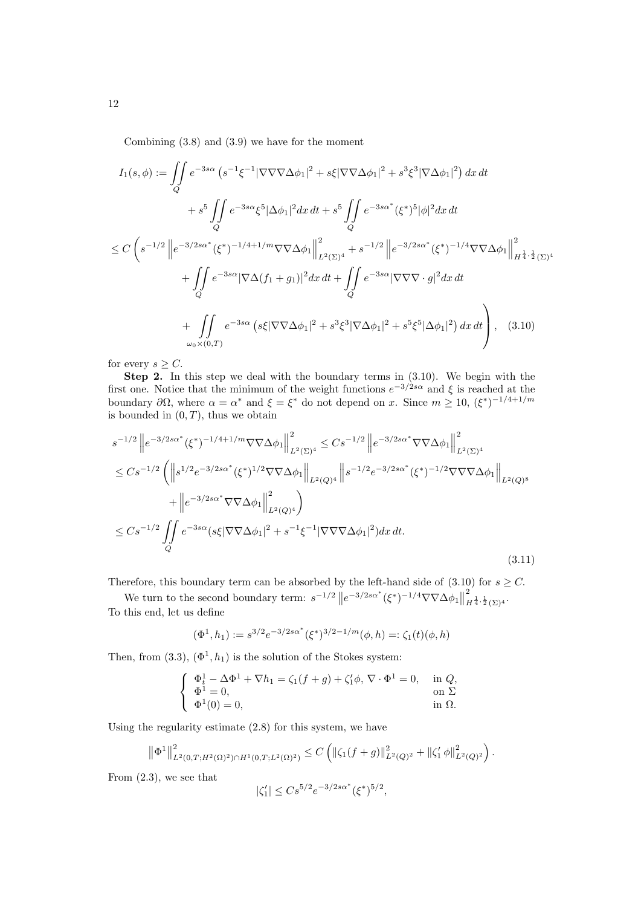Combining (3.8) and (3.9) we have for the moment

$$
I_{1}(s,\phi) := \iint_{Q} e^{-3s\alpha} (s^{-1}\xi^{-1}|\nabla\nabla\nabla\Delta\phi_{1}|^{2} + s\xi|\nabla\nabla\Delta\phi_{1}|^{2} + s^{3}\xi^{3}|\nabla\Delta\phi_{1}|^{2}) dx dt + s^{5} \iint_{Q} e^{-3s\alpha} \xi^{5}|\Delta\phi_{1}|^{2} dx dt + s^{5} \iint_{Q} e^{-3s\alpha^{*}} (\xi^{*})^{5}|\phi|^{2} dx dt \n\leq C \left( s^{-1/2} \left\| e^{-3/2s\alpha^{*}} (\xi^{*})^{-1/4+1/m} \nabla\nabla\Delta\phi_{1} \right\|_{L^{2}(\Sigma)^{4}}^{2} + s^{-1/2} \left\| e^{-3/2s\alpha^{*}} (\xi^{*})^{-1/4} \nabla\nabla\Delta\phi_{1} \right\|_{H^{\frac{1}{4},\frac{1}{2}}(\Sigma)^{4}}^{2} + \iint_{Q} e^{-3s\alpha} |\nabla\Delta(f_{1} + g_{1})|^{2} dx dt + \iint_{Q} e^{-3s\alpha} |\nabla\nabla\nabla \cdot g|^{2} dx dt + \iint_{Q} e^{-3s\alpha} (s\xi|\nabla\nabla\Delta\phi_{1}|^{2} + s^{3}\xi^{3}|\nabla\Delta\phi_{1}|^{2} + s^{5}\xi^{5}|\Delta\phi_{1}|^{2}) dx dt \right), (3.10)
$$

for every  $s \geq C$ .

Step 2. In this step we deal with the boundary terms in (3.10). We begin with the first one. Notice that the minimum of the weight functions  $e^{-3/2s\alpha}$  and  $\xi$  is reached at the boundary  $\partial\Omega$ , where  $\alpha = \alpha^*$  and  $\xi = \xi^*$  do not depend on x. Since  $m \geq 10$ ,  $(\xi^*)^{-1/4+1/m}$ is bounded in  $(0, T)$ , thus we obtain

$$
s^{-1/2} \left\| e^{-3/2s\alpha^*} (\xi^*)^{-1/4+1/m} \nabla \nabla \Delta \phi_1 \right\|_{L^2(\Sigma)^4}^2 \leq Cs^{-1/2} \left\| e^{-3/2s\alpha^*} \nabla \nabla \Delta \phi_1 \right\|_{L^2(\Sigma)^4}^2
$$
  
\n
$$
\leq Cs^{-1/2} \left( \left\| s^{1/2} e^{-3/2s\alpha^*} (\xi^*)^{1/2} \nabla \nabla \Delta \phi_1 \right\|_{L^2(Q)^4} \left\| s^{-1/2} e^{-3/2s\alpha^*} (\xi^*)^{-1/2} \nabla \nabla \nabla \Delta \phi_1 \right\|_{L^2(Q)^8}
$$
  
\n
$$
+ \left\| e^{-3/2s\alpha^*} \nabla \nabla \Delta \phi_1 \right\|_{L^2(Q)^4}^2 \right)
$$
  
\n
$$
\leq Cs^{-1/2} \iint_Q e^{-3s\alpha} (s\xi |\nabla \nabla \Delta \phi_1|^2 + s^{-1}\xi^{-1} |\nabla \nabla \nabla \Delta \phi_1|^2) dx dt.
$$
  
\n(3.11)

Therefore, this boundary term can be absorbed by the left-hand side of  $(3.10)$  for  $s \ge C$ .

We turn to the second boundary term:  $s^{-1/2} ||e^{-3/2s\alpha^*}(\xi^*)^{-1/4}\nabla\nabla\Delta\phi_1||$ 2  $H^{\frac{1}{4},\frac{1}{2}}(\Sigma)^4$ . To this end, let us define

$$
(\Phi^1, h_1) := s^{3/2} e^{-3/2s\alpha^*} (\xi^*)^{3/2 - 1/m} (\phi, h) =: \zeta_1(t) (\phi, h)
$$

Then, from  $(3.3)$ ,  $(\Phi^1, h_1)$  is the solution of the Stokes system:

$$
\begin{cases}\n\Phi_t^1 - \Delta \Phi^1 + \nabla h_1 = \zeta_1(f+g) + \zeta_1'\phi, \, \nabla \cdot \Phi^1 = 0, & \text{in } Q, \\
\Phi^1 = 0, & \text{on } \Sigma \\
\Phi^1(0) = 0, & \text{in } \Omega.\n\end{cases}
$$

Using the regularity estimate (2.8) for this system, we have

$$
\left\|\Phi^1\right\|_{L^2(0,T;H^2(\Omega)^2)\cap H^1(0,T;L^2(\Omega)^2)}^2 \le C\left(\left\|\zeta_1(f+g)\right\|_{L^2(Q)^2}^2+\left\|\zeta_1'\phi\right\|_{L^2(Q)^2}^2\right)
$$

.

From (2.3), we see that

$$
|\zeta_1'| \le Cs^{5/2}e^{-3/2s\alpha^*}(\xi^*)^{5/2},
$$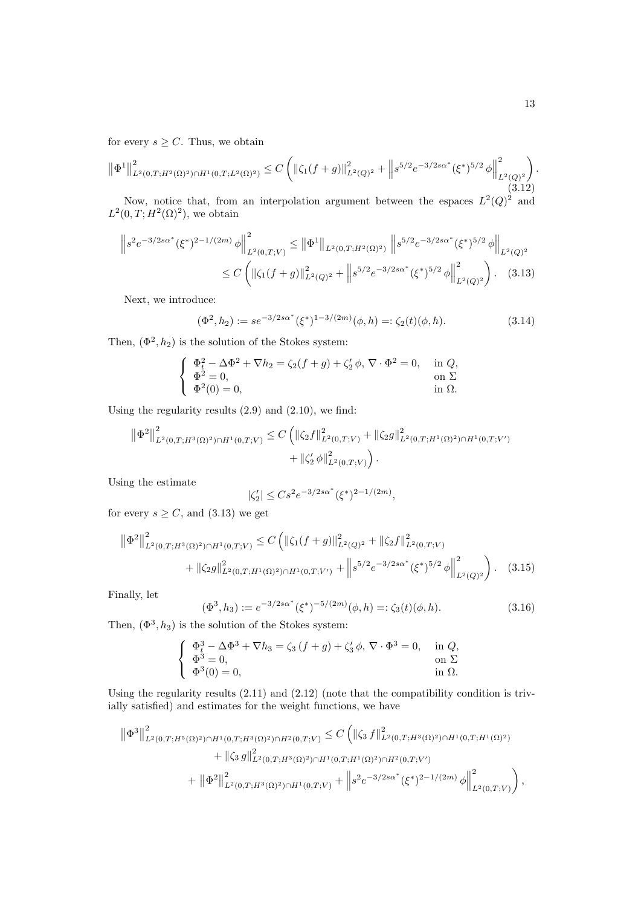for every  $s \geq C$ . Thus, we obtain

$$
\left\|\Phi^{1}\right\|_{L^{2}(0,T;H^{2}(\Omega)^{2})\cap H^{1}(0,T;L^{2}(\Omega)^{2})}^{2} \leq C\left(\left\|\zeta_{1}(f+g)\right\|_{L^{2}(Q)^{2}}^{2}+\left\|s^{5/2}e^{-3/2s\alpha^{*}}(\xi^{*})^{5/2}\phi\right\|_{L^{2}(Q)^{2}}^{2}\right). \tag{3.12}
$$

Now, notice that, from an interpolation argument between the espaces  $L^2(Q)^2$  and  $L^2(0,T;H^2(\Omega)^2)$ , we obtain

$$
\|s^{2}e^{-3/2s\alpha^{*}}(\xi^{*})^{2-1/(2m)}\phi\|_{L^{2}(0,T;V)}^{2} \leq \|\Phi^{1}\|_{L^{2}(0,T;H^{2}(\Omega)^{2})}\left\|s^{5/2}e^{-3/2s\alpha^{*}}(\xi^{*})^{5/2}\phi\right\|_{L^{2}(Q)^{2}}
$$

$$
\leq C\left(\|\zeta_{1}(f+g)\|_{L^{2}(Q)^{2}}^{2}+\left\|s^{5/2}e^{-3/2s\alpha^{*}}(\xi^{*})^{5/2}\phi\right\|_{L^{2}(Q)^{2}}^{2}\right). \quad (3.13)
$$

Next, we introduce:

$$
(\Phi^2, h_2) := s e^{-3/2s\alpha^*} (\xi^*)^{1-3/(2m)} (\phi, h) =: \zeta_2(t) (\phi, h). \tag{3.14}
$$

Then,  $(\Phi^2, h_2)$  is the solution of the Stokes system:

$$
\begin{cases}\n\Phi_t^2 - \Delta \Phi^2 + \nabla h_2 = \zeta_2(f+g) + \zeta_2' \phi, \nabla \cdot \Phi^2 = 0, & \text{in } Q, \\
\Phi^2 = 0, & \text{on } \Sigma \\
\Phi^2(0) = 0, & \text{in } \Omega.\n\end{cases}
$$

Using the regularity results (2.9) and (2.10), we find:

$$
\|\Phi^2\|_{L^2(0,T;H^3(\Omega)^2)\cap H^1(0,T;V)}^2 \leq C \left( \|\zeta_2 f\|_{L^2(0,T;V)}^2 + \|\zeta_2 g\|_{L^2(0,T;H^1(\Omega)^2)\cap H^1(0,T;V')}^2 + \|\zeta_2' \phi\|_{L^2(0,T;V)}^2 \right).
$$

Using the estimate

$$
|\zeta_2'| \leq Cs^2 e^{-3/2s\alpha^*} (\xi^*)^{2-1/(2m)},
$$

for every  $s \geq C$ , and  $(3.13)$  we get

$$
\|\Phi^2\|_{L^2(0,T;H^3(\Omega)^2)\cap H^1(0,T;V)}^2 \le C \left( \|\zeta_1(f+g)\|_{L^2(Q)^2}^2 + \|\zeta_2 f\|_{L^2(0,T;V)}^2 + \|\zeta_2 g\|_{L^2(0,T;H^1(\Omega)^2)\cap H^1(0,T;V')}^2 + \left\|s^{5/2}e^{-3/2s\alpha^*}(\xi^*)^{5/2}\phi\right\|_{L^2(Q)^2}^2 \right). \tag{3.15}
$$

Finally, let

$$
(\Phi^3, h_3) := e^{-3/2s\alpha^*} (\xi^*)^{-5/(2m)} (\phi, h) =: \zeta_3(t) (\phi, h). \tag{3.16}
$$

Then,  $(\Phi^3, h_3)$  is the solution of the Stokes system:

$$
\begin{cases}\n\Phi_t^3 - \Delta \Phi^3 + \nabla h_3 = \zeta_3 (f+g) + \zeta_3' \phi, \nabla \cdot \Phi^3 = 0, & \text{in } Q, \\
\Phi^3 = 0, & \text{on } \Sigma \\
\Phi^3(0) = 0, & \text{in } \Omega.\n\end{cases}
$$

Using the regularity results (2.11) and (2.12) (note that the compatibility condition is trivially satisfied) and estimates for the weight functions, we have

$$
\begin{split} \left\| \Phi^{3} \right\|^{2}_{L^{2}(0,T;H^{5}(\Omega)^{2}) \cap H^{1}(0,T;H^{3}(\Omega)^{2}) \cap H^{2}(0,T;V)} &\leq C \left( \left\| \zeta_{3}\,f \right\|^{2}_{L^{2}(0,T;H^{3}(\Omega)^{2}) \cap H^{1}(0,T;H^{1}(\Omega)^{2})} \\ & \quad + \left\| \zeta_{3}\,g \right\|^{2}_{L^{2}(0,T;H^{3}(\Omega)^{2}) \cap H^{1}(0,T;H^{1}(\Omega)^{2}) \cap H^{2}(0,T;V')} \\ & \quad + \left\| \Phi^{2} \right\|^{2}_{L^{2}(0,T;H^{3}(\Omega)^{2}) \cap H^{1}(0,T;V)} + \left\| s^{2}e^{-3/2s\alpha^{*}}(\xi^{*})^{2-1/(2m)}\,\phi \right\|^{2}_{L^{2}(0,T;V)} \right), \end{split}
$$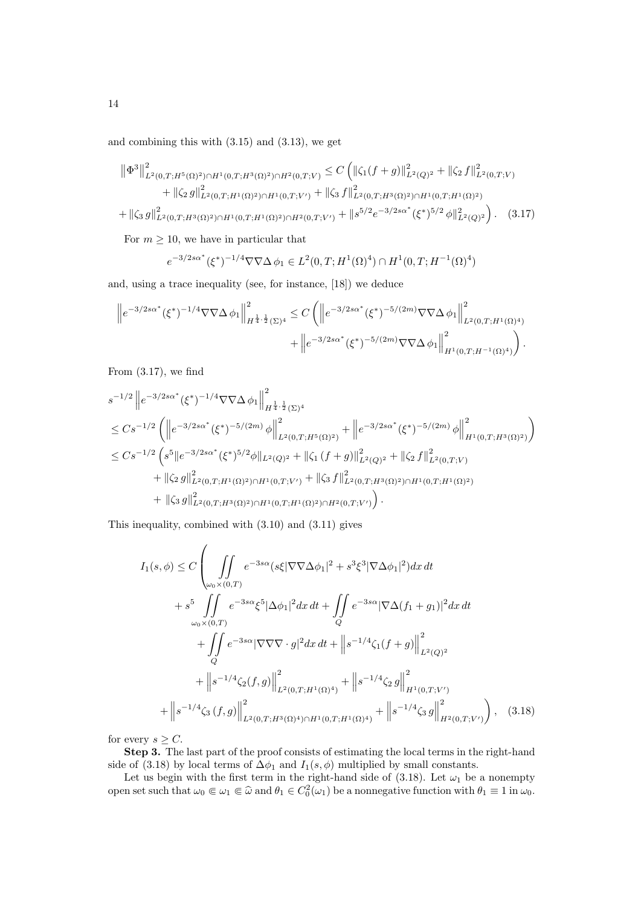and combining this with (3.15) and (3.13), we get

$$
\|\Phi^3\|_{L^2(0,T;H^5(\Omega)^2)\cap H^1(0,T;H^3(\Omega)^2)\cap H^2(0,T;V)}^2 \leq C \left( \|\zeta_1(f+g)\|_{L^2(Q)^2}^2 + \|\zeta_2 f\|_{L^2(0,T;V)}^2 + \|\zeta_2 g\|_{L^2(0,T;H^1(\Omega)^2)\cap H^1(0,T;V')}^2 + \|\zeta_3 f\|_{L^2(0,T;H^3(\Omega)^2)\cap H^1(0,T;H^1(\Omega)^2)}^2 + \|\zeta_3 g\|_{L^2(0,T;H^3(\Omega)^2)\cap H^1(0,T;H^1(\Omega)^2)\cap H^2(0,T;V')}^2 + \|g^{5/2}e^{-3/2s\alpha^*}(\xi^*)^{5/2}\phi\|_{L^2(Q)^2}^2 \right). \tag{3.17}
$$

For  $m \geq 10$ , we have in particular that

$$
e^{-3/2s\alpha^*} (\xi^*)^{-1/4} \nabla \nabla \Delta \phi_1 \in L^2(0, T; H^1(\Omega)^4) \cap H^1(0, T; H^{-1}(\Omega)^4)
$$

and, using a trace inequality (see, for instance, [18]) we deduce

$$
\|e^{-3/2s\alpha^*}(\xi^*)^{-1/4}\nabla\nabla\Delta\,\phi_1\|_{H^{\frac{1}{4},\frac{1}{2}}(\Sigma)^4}^2 \leq C\left(\left\|e^{-3/2s\alpha^*}(\xi^*)^{-5/(2m)}\nabla\nabla\Delta\,\phi_1\right\|_{L^2(0,T;H^1(\Omega)^4)}^2 + \left\|e^{-3/2s\alpha^*}(\xi^*)^{-5/(2m)}\nabla\nabla\Delta\,\phi_1\right\|_{H^1(0,T;H^{-1}(\Omega)^4)}^2\right).
$$

From  $(3.17)$ , we find

$$
s^{-1/2} \|e^{-3/2s\alpha^*}(\xi^*)^{-1/4}\nabla\nabla\Delta\phi_1\|_{H^{\frac{1}{4},\frac{1}{2}}(\Sigma)^4}^2
$$
  
\n
$$
\leq Cs^{-1/2} \left( \|e^{-3/2s\alpha^*}(\xi^*)^{-5/(2m)}\phi\|_{L^2(0,T;H^5(\Omega)^2)}^2 + \|e^{-3/2s\alpha^*}(\xi^*)^{-5/(2m)}\phi\|_{H^1(0,T;H^3(\Omega)^2)}^2 \right)
$$
  
\n
$$
\leq Cs^{-1/2} \left( s^5 \|e^{-3/2s\alpha^*}(\xi^*)^{5/2}\phi\|_{L^2(Q)^2} + \|\zeta_1(f+g)\|_{L^2(Q)^2}^2 + \|\zeta_2 f\|_{L^2(0,T;V)}^2 + \|\zeta_2 g\|_{L^2(0,T;H^1(\Omega)^2)\cap H^1(0,T;V')}^2 + \|\zeta_3 f\|_{L^2(0,T;H^3(\Omega)^2)\cap H^1(0,T;H^1(\Omega)^2)}^2 + \|\zeta_3 g\|_{L^2(0,T;H^3(\Omega)^2)\cap H^1(0,T;H^1(\Omega)^2)\cap H^2(0,T;V')}^2 \right).
$$

This inequality, combined with (3.10) and (3.11) gives

$$
I_{1}(s,\phi) \leq C \left( \iint_{\omega_{0}\times(0,T)} e^{-3s\alpha} (s\xi |\nabla \nabla \Delta \phi_{1}|^{2} + s^{3} \xi^{3} |\nabla \Delta \phi_{1}|^{2}) dx dt + s^{5} \iint_{\omega_{0}\times(0,T)} e^{-3s\alpha} \xi^{5} |\Delta \phi_{1}|^{2} dx dt + \iint_{Q} e^{-3s\alpha} |\nabla \Delta (f_{1} + g_{1})|^{2} dx dt + \iint_{Q} e^{-3s\alpha} |\nabla \nabla \nabla \cdot g|^{2} dx dt + \left\| s^{-1/4} \zeta_{1}(f + g) \right\|_{L^{2}(Q)^{2}}^{2} + \left\| s^{-1/4} \zeta_{2}(f, g) \right\|_{L^{2}(0,T;H^{1}(\Omega)^{4})}^{2} + \left\| s^{-1/4} \zeta_{3}(f, g) \right\|_{L^{2}(0,T;H^{1}(\Omega)^{4})}^{2} + \left\| s^{-1/4} \zeta_{3} g \right\|_{H^{1}(0,T;V')}^{2} + \left\| s^{-1/4} \zeta_{3}(f, g) \right\|_{L^{2}(0,T;H^{3}(\Omega)^{4}) \cap H^{1}(0,T;H^{1}(\Omega)^{4})}^{2} + \left\| s^{-1/4} \zeta_{3} g \right\|_{H^{2}(0,T;V')}^{2} \right), \quad (3.18)
$$

for every  $s > C$ .

Step 3. The last part of the proof consists of estimating the local terms in the right-hand side of (3.18) by local terms of  $\Delta\phi_1$  and  $I_1(s, \phi)$  multiplied by small constants.

Let us begin with the first term in the right-hand side of (3.18). Let  $\omega_1$  be a nonempty open set such that  $\omega_0 \in \omega_1 \in \widehat{\omega}$  and  $\theta_1 \in C_0^2(\omega_1)$  be a nonnegative function with  $\theta_1 \equiv 1$  in  $\omega_0$ .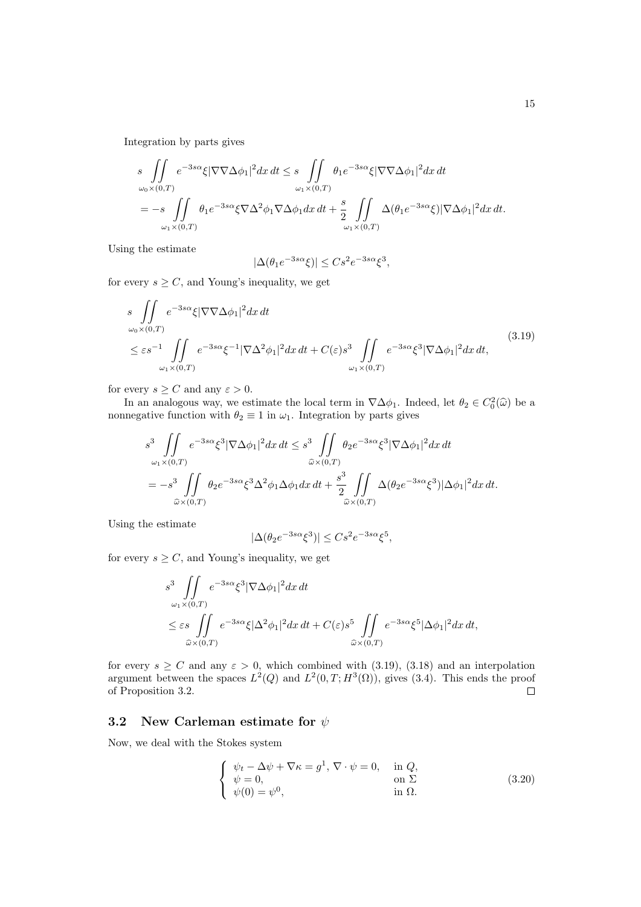Integration by parts gives

$$
s \iint_{\omega_0 \times (0,T)} e^{-3s\alpha} \xi |\nabla \nabla \Delta \phi_1|^2 dx dt \leq s \iint_{\omega_1 \times (0,T)} \theta_1 e^{-3s\alpha} \xi |\nabla \nabla \Delta \phi_1|^2 dx dt
$$
  
=  $-s \iint_{\omega_1 \times (0,T)} \theta_1 e^{-3s\alpha} \xi \nabla \Delta^2 \phi_1 \nabla \Delta \phi_1 dx dt + \frac{s}{2} \iint_{\omega_1 \times (0,T)} \Delta (\theta_1 e^{-3s\alpha} \xi) |\nabla \Delta \phi_1|^2 dx dt.$ 

Using the estimate

$$
|\Delta(\theta_1 e^{-3s\alpha}\xi)| \le Cs^2 e^{-3s\alpha}\xi^3,
$$

for every  $s \geq C$ , and Young's inequality, we get

$$
s \iint_{\omega_0 \times (0,T)} e^{-3s\alpha} \xi |\nabla \nabla \Delta \phi_1|^2 dx dt
$$
  
\n
$$
\leq \varepsilon s^{-1} \iint_{\omega_1 \times (0,T)} e^{-3s\alpha} \xi^{-1} |\nabla \Delta^2 \phi_1|^2 dx dt + C(\varepsilon) s^3 \iint_{\omega_1 \times (0,T)} e^{-3s\alpha} \xi^3 |\nabla \Delta \phi_1|^2 dx dt,
$$
\n(3.19)

for every  $s \geq C$  and any  $\varepsilon > 0$ .

In an analogous way, we estimate the local term in  $\nabla \Delta \phi_1$ . Indeed, let  $\theta_2 \in C_0^2(\hat{\omega})$  be a<br>progetive function with  $\theta_2 = 1$  in  $\omega$ . Integration by parts gives nonnegative function with  $\theta_2 \equiv 1$  in  $\omega_1$ . Integration by parts gives

$$
s^3 \iint_{\omega_1 \times (0,T)} e^{-3s\alpha} \xi^3 |\nabla \Delta \phi_1|^2 dx dt \leq s^3 \iint_{\widehat{\omega} \times (0,T)} \theta_2 e^{-3s\alpha} \xi^3 |\nabla \Delta \phi_1|^2 dx dt
$$
  
=  $-s^3 \iint_{\widehat{\omega} \times (0,T)} \theta_2 e^{-3s\alpha} \xi^3 \Delta^2 \phi_1 \Delta \phi_1 dx dt + \frac{s^3}{2} \iint_{\widehat{\omega} \times (0,T)} \Delta (\theta_2 e^{-3s\alpha} \xi^3) |\Delta \phi_1|^2 dx dt.$ 

Using the estimate

$$
|\Delta(\theta_2 e^{-3s\alpha} \xi^3)| \leq C s^2 e^{-3s\alpha} \xi^5,
$$

for every  $s \geq C$ , and Young's inequality, we get

$$
s^{3} \iint_{\omega_{1}\times(0,T)} e^{-3s\alpha} \xi^{3} |\nabla \Delta \phi_{1}|^{2} dx dt
$$
  
\n
$$
\leq \varepsilon s \iint_{\widehat{\omega}\times(0,T)} e^{-3s\alpha} \xi |\Delta^{2} \phi_{1}|^{2} dx dt + C(\varepsilon) s^{5} \iint_{\widehat{\omega}\times(0,T)} e^{-3s\alpha} \xi^{5} |\Delta \phi_{1}|^{2} dx dt,
$$

for every  $s \ge C$  and any  $\varepsilon > 0$ , which combined with (3.19), (3.18) and an interpolation argument between the spaces  $L^2(Q)$  and  $L^2(0,T;H^3(\Omega))$ , gives (3.4). This ends the proof of Proposition 3.2.  $\Box$ 

### 3.2 New Carleman estimate for  $\psi$

Now, we deal with the Stokes system

$$
\begin{cases}\n\psi_t - \Delta \psi + \nabla \kappa = g^1, \nabla \cdot \psi = 0, & \text{in } Q, \\
\psi = 0, & \text{on } \Sigma \\
\psi(0) = \psi^0, & \text{in } \Omega.\n\end{cases}
$$
\n(3.20)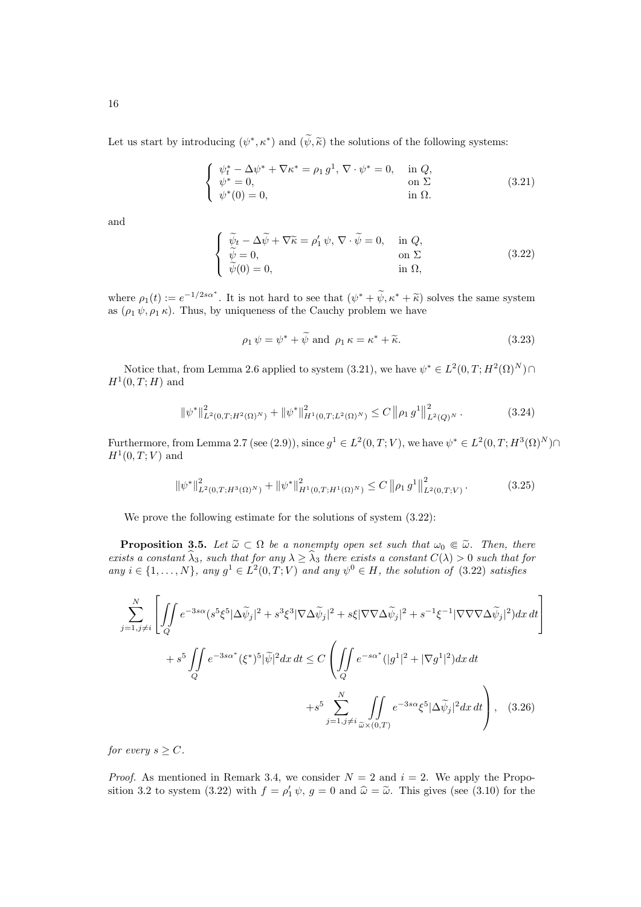Let us start by introducing  $(\psi^*, \kappa^*)$  and  $(\tilde{\psi}, \tilde{\kappa})$  the solutions of the following systems:

$$
\begin{cases}\n\psi_t^* - \Delta \psi^* + \nabla \kappa^* = \rho_1 g^1, \nabla \cdot \psi^* = 0, & \text{in } Q, \\
\psi^* = 0, & \text{on } \Sigma \\
\psi^*(0) = 0, & \text{in } \Omega.\n\end{cases}
$$
\n(3.21)

and

$$
\begin{cases}\n\widetilde{\psi}_t - \Delta \widetilde{\psi} + \nabla \widetilde{\kappa} = \rho'_1 \psi, \nabla \cdot \widetilde{\psi} = 0, & \text{in } Q, \\
\widetilde{\psi} = 0, & \text{on } \Sigma \\
\widetilde{\psi}(0) = 0, & \text{in } \Omega,\n\end{cases}
$$
\n(3.22)

where  $\rho_1(t) := e^{-1/2s\alpha^*}$ . It is not hard to see that  $(\psi^* + \widetilde{\psi}, \kappa^* + \widetilde{\kappa})$  solves the same system as  $(\alpha, \psi, \alpha, \kappa)$ . Thus, by uniqueness of the Cauchy problem we have as  $(\rho_1 \psi, \rho_1 \kappa)$ . Thus, by uniqueness of the Cauchy problem we have

$$
\rho_1 \psi = \psi^* + \widetilde{\psi} \text{ and } \rho_1 \kappa = \kappa^* + \widetilde{\kappa}.\tag{3.23}
$$

Notice that, from Lemma 2.6 applied to system  $(3.21)$ , we have  $\psi^* \in L^2(0,T;H^2(\Omega)^N) \cap$  $H^1(0,T;H)$  and

$$
\|\psi^*\|_{L^2(0,T;H^2(\Omega)^N)}^2 + \|\psi^*\|_{H^1(0,T;L^2(\Omega)^N)}^2 \le C \left\|\rho_1 g^1\right\|_{L^2(Q)^N}^2. \tag{3.24}
$$

Furthermore, from Lemma 2.7 (see (2.9)), since  $g^1 \in L^2(0,T;V)$ , we have  $\psi^* \in L^2(0,T;H^3(\Omega)^N) \cap$  $H^1(0,T;V)$  and

$$
\|\psi^*\|_{L^2(0,T;H^3(\Omega)^N)}^2 + \|\psi^*\|_{H^1(0,T;H^1(\Omega)^N)}^2 \le C \left\|\rho_1 g^1\right\|_{L^2(0,T;V)}^2. \tag{3.25}
$$

We prove the following estimate for the solutions of system  $(3.22)$ :

**Proposition 3.5.** Let  $\widetilde{\omega} \subset \Omega$  be a nonempty open set such that  $\omega_0 \in \widetilde{\omega}$ . Then, there exists a constant  $\widehat{\lambda}_3$ , such that for any  $\lambda \geq \widehat{\lambda}_3$  there exists a constant  $C(\lambda) > 0$  such that for any  $i \in \{1, ..., N\}$ , any  $g^1 \in L^2(0,T;V)$  and any  $\psi^0 \in H$ , the solution of (3.22) satisfies

$$
\sum_{j=1,j\neq i}^{N} \left[ \iint_{Q} e^{-3s\alpha} (s^5 \xi^5 |\Delta \tilde{\psi}_j|^2 + s^3 \xi^3 |\nabla \Delta \tilde{\psi}_j|^2 + s \xi |\nabla \nabla \Delta \tilde{\psi}_j|^2 + s^{-1} \xi^{-1} |\nabla \nabla \nabla \Delta \tilde{\psi}_j|^2) dx dt \right]
$$
  
+  $s^5 \iint_{Q} e^{-3s\alpha^*} (\xi^*)^5 |\tilde{\psi}|^2 dx dt \leq C \left( \iint_{Q} e^{-s\alpha^*} (|g^1|^2 + |\nabla g^1|^2) dx dt + s^5 \sum_{j=1, j\neq i}^{N} \iint_{\tilde{\omega} \times (0,T)} e^{-3s\alpha} \xi^5 |\Delta \tilde{\psi}_j|^2 dx dt \right),$  (3.26)

for every  $s > C$ .

*Proof.* As mentioned in Remark 3.4, we consider  $N = 2$  and  $i = 2$ . We apply the Proposition 3.2 to system (3.22) with  $f = \rho'_1 \psi$ ,  $g = 0$  and  $\hat{\omega} = \tilde{\omega}$ . This gives (see (3.10) for the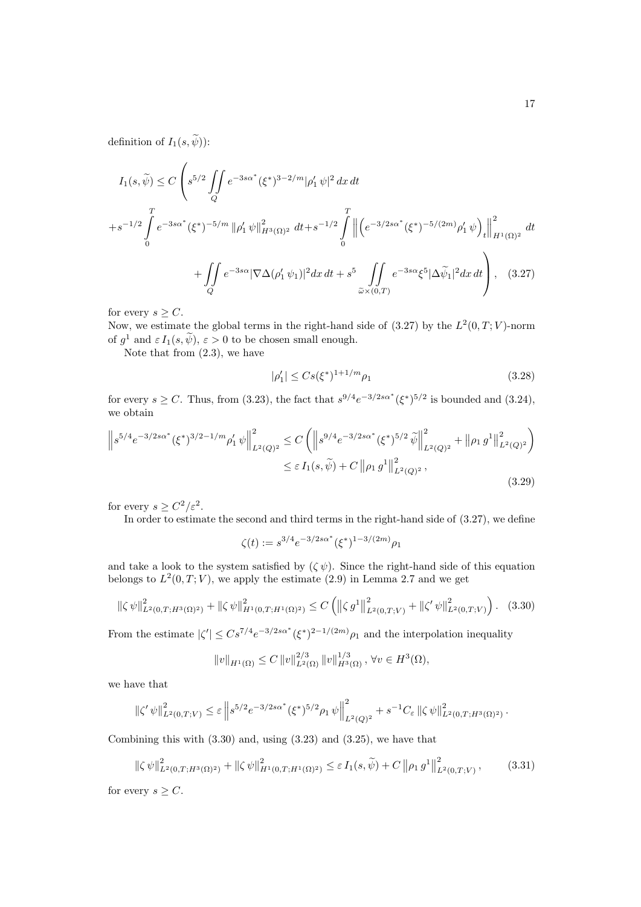definition of  $I_1(s, \widetilde{\psi})$ :

$$
I_{1}(s,\tilde{\psi}) \leq C \left( s^{5/2} \iint_{Q} e^{-3s\alpha^{*}} (\xi^{*})^{3-2/m} |\rho'_{1}\psi|^{2} dx dt + s^{-1/2} \int_{0}^{T} \left\| \left( e^{-3/2s\alpha^{*}} (\xi^{*})^{-5/(2m)} \rho'_{1}\psi \right)_{t} \right\|_{H^{1}(\Omega)^{2}}^{2} dt + s^{-1/2} \int_{0}^{T} \left\| \left( e^{-3/2s\alpha^{*}} (\xi^{*})^{-5/(2m)} \rho'_{1}\psi \right)_{t} \right\|_{H^{1}(\Omega)^{2}}^{2} dt + \iint_{Q} e^{-3s\alpha} |\nabla \Delta(\rho'_{1}\psi_{1})|^{2} dx dt + s^{5} \iint_{\tilde{\omega} \times (0,T)} e^{-3s\alpha} \xi^{5} |\Delta \tilde{\psi}_{1}|^{2} dx dt \right), \quad (3.27)
$$

for every  $s > C$ .

Now, we estimate the global terms in the right-hand side of  $(3.27)$  by the  $L^2(0,T;V)$ -norm of  $g^1$  and  $\varepsilon I_1(s, \psi)$ ,  $\varepsilon > 0$  to be chosen small enough.

Note that from (2.3), we have

$$
|\rho_1'| \le Cs(\xi^*)^{1+1/m} \rho_1 \tag{3.28}
$$

for every  $s \ge C$ . Thus, from (3.23), the fact that  $s^{9/4}e^{-3/2s\alpha^*}(\xi^*)^{5/2}$  is bounded and (3.24), we obtain

$$
\left\|s^{5/4}e^{-3/2s\alpha^*}(\xi^*)^{3/2-1/m}\rho_1'\,\psi\right\|_{L^2(Q)^2}^2 \leq C\left(\left\|s^{9/4}e^{-3/2s\alpha^*}(\xi^*)^{5/2}\,\tilde{\psi}\right\|_{L^2(Q)^2}^2 + \left\|\rho_1\,g^1\right\|_{L^2(Q)^2}^2\right) \leq \varepsilon\,I_1(s,\tilde{\psi}) + C\,\left\|\rho_1\,g^1\right\|_{L^2(Q)^2}^2,\tag{3.29}
$$

for every  $s \geq C^2/\varepsilon^2$ .

In order to estimate the second and third terms in the right-hand side of (3.27), we define

$$
\zeta(t) := s^{3/4} e^{-3/2s\alpha^*} (\xi^*)^{1-3/(2m)} \rho_1
$$

and take a look to the system satisfied by  $(\zeta \psi)$ . Since the right-hand side of this equation belongs to  $L^2(0,T;V)$ , we apply the estimate  $(2.9)$  in Lemma 2.7 and we get

$$
\left\|\zeta \,\psi\right\|_{L^{2}(0,T;H^{3}(\Omega)^{2})}^{2} + \left\|\zeta \,\psi\right\|_{H^{1}(0,T;H^{1}(\Omega)^{2})}^{2} \leq C\left(\left\|\zeta \,g^{1}\right\|_{L^{2}(0,T;V)}^{2} + \left\|\zeta^{\prime} \,\psi\right\|_{L^{2}(0,T;V)}^{2}\right). \tag{3.30}
$$

From the estimate  $|\zeta'| \leq Cs^{7/4}e^{-3/2s\alpha^*}(\xi^*)^{2-1/(2m)}\rho_1$  and the interpolation inequality

$$
||v||_{H^1(\Omega)} \leq C ||v||_{L^2(\Omega)}^{2/3} ||v||_{H^3(\Omega)}^{1/3}, \forall v \in H^3(\Omega),
$$

we have that

$$
\left\| \zeta'\,\psi \right\|_{L^2(0,T;V)}^2 \leq \varepsilon \left\| s^{5/2} e^{-3/2s\alpha^*} (\xi^*)^{5/2} \rho_1\,\psi \right\|_{L^2(Q)^2}^2 + s^{-1} C_\varepsilon \left\| \zeta\,\psi \right\|_{L^2(0,T;H^3(\Omega)^2)}^2.
$$

Combining this with  $(3.30)$  and, using  $(3.23)$  and  $(3.25)$ , we have that

$$
\left\|\zeta \,\psi\right\|_{L^{2}(0,T;H^{3}(\Omega)^{2})}^{2} + \left\|\zeta \,\psi\right\|_{H^{1}(0,T;H^{1}(\Omega)^{2})}^{2} \leq \varepsilon \, I_{1}(s,\widetilde{\psi}) + C\left\|\rho_{1}\,g^{1}\right\|_{L^{2}(0,T;V)}^{2},\tag{3.31}
$$

for every  $s \geq C$ .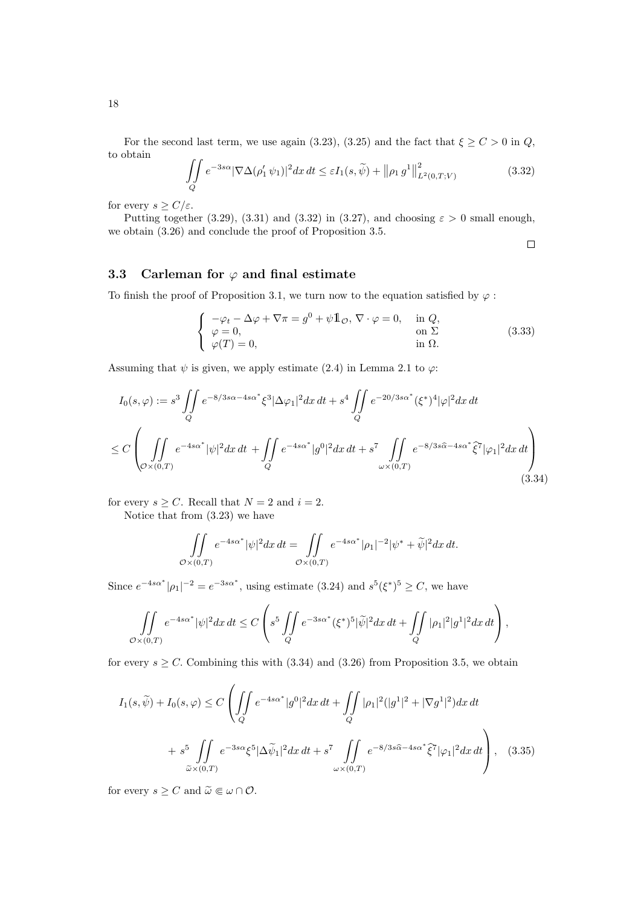For the second last term, we use again (3.23), (3.25) and the fact that  $\xi \ge C > 0$  in Q, to obtain

$$
\iint\limits_{Q} e^{-3s\alpha} |\nabla \Delta(\rho'_1 \psi_1)|^2 dx dt \leq \varepsilon I_1(s, \widetilde{\psi}) + ||\rho_1 g^1||^2_{L^2(0,T;V)} \tag{3.32}
$$

for every  $s \geq C/\varepsilon$ .

Putting together (3.29), (3.31) and (3.32) in (3.27), and choosing  $\varepsilon > 0$  small enough, we obtain (3.26) and conclude the proof of Proposition 3.5.

 $\Box$ 

### 3.3 Carleman for  $\varphi$  and final estimate

To finish the proof of Proposition 3.1, we turn now to the equation satisfied by  $\varphi$ :

$$
\begin{cases}\n-\varphi_t - \Delta \varphi + \nabla \pi = g^0 + \psi \mathbb{1}_{\mathcal{O}}, \nabla \cdot \varphi = 0, & \text{in } Q, \\
\varphi = 0, & \text{on } \Sigma \\
\varphi(T) = 0, & \text{in } \Omega.\n\end{cases}
$$
\n(3.33)

Assuming that  $\psi$  is given, we apply estimate (2.4) in Lemma 2.1 to  $\varphi$ :

$$
I_0(s,\varphi) := s^3 \iint_Q e^{-8/3s\alpha - 4s\alpha^*} \xi^3 |\Delta\varphi_1|^2 dx dt + s^4 \iint_Q e^{-20/3s\alpha^*} (\xi^*)^4 |\varphi|^2 dx dt
$$
  

$$
\leq C \left( \iint_{\mathcal{O}\times(0,T)} e^{-4s\alpha^*} |\psi|^2 dx dt + \iint_Q e^{-4s\alpha^*} |g^0|^2 dx dt + s^7 \iint_{\omega \times (0,T)} e^{-8/3s\widehat{\alpha} - 4s\alpha^*} \widehat{\xi}^7 |\varphi_1|^2 dx dt \right)
$$
(3.34)

for every  $s \geq C$ . Recall that  $N = 2$  and  $i = 2$ .

Notice that from (3.23) we have

$$
\iint\limits_{\mathcal{O}\times(0,T)}e^{-4s\alpha^*}|\psi|^2dx\,dt=\iint\limits_{\mathcal{O}\times(0,T)}e^{-4s\alpha^*}|\rho_1|^{-2}|\psi^*+\widetilde{\psi}|^2dx\,dt.
$$

Since  $e^{-4s\alpha^*}|\rho_1|^{-2} = e^{-3s\alpha^*}$ , using estimate (3.24) and  $s^5(\xi^*)^5 \ge C$ , we have

$$
\iint\limits_{\mathcal{O}\times(0,T)}e^{-4s\alpha^*}|\psi|^2dx\,dt\leq C\left(s^5\iint\limits_{Q}e^{-3s\alpha^*}(\xi^*)^5|\widetilde{\psi}|^2dx\,dt+\iint\limits_{Q}|\rho_1|^2|g^1|^2dx\,dt\right),
$$

for every  $s \geq C$ . Combining this with (3.34) and (3.26) from Proposition 3.5, we obtain

$$
I_1(s,\widetilde{\psi}) + I_0(s,\varphi) \le C \left( \iint\limits_Q e^{-4s\alpha^*} |g^0|^2 dx dt + \iint\limits_Q |\rho_1|^2 (|g^1|^2 + |\nabla g^1|^2) dx dt + s^5 \iint\limits_{\widetilde{\omega} \times (0,T)} e^{-3s\alpha} \xi^5 |\Delta \widetilde{\psi}_1|^2 dx dt + s^7 \iint\limits_{\omega \times (0,T)} e^{-8/3s\widehat{\alpha} - 4s\alpha^*} \widehat{\xi}^7 |\varphi_1|^2 dx dt \right), \quad (3.35)
$$

for every  $s \geq C$  and  $\widetilde{\omega} \in \omega \cap \mathcal{O}$ .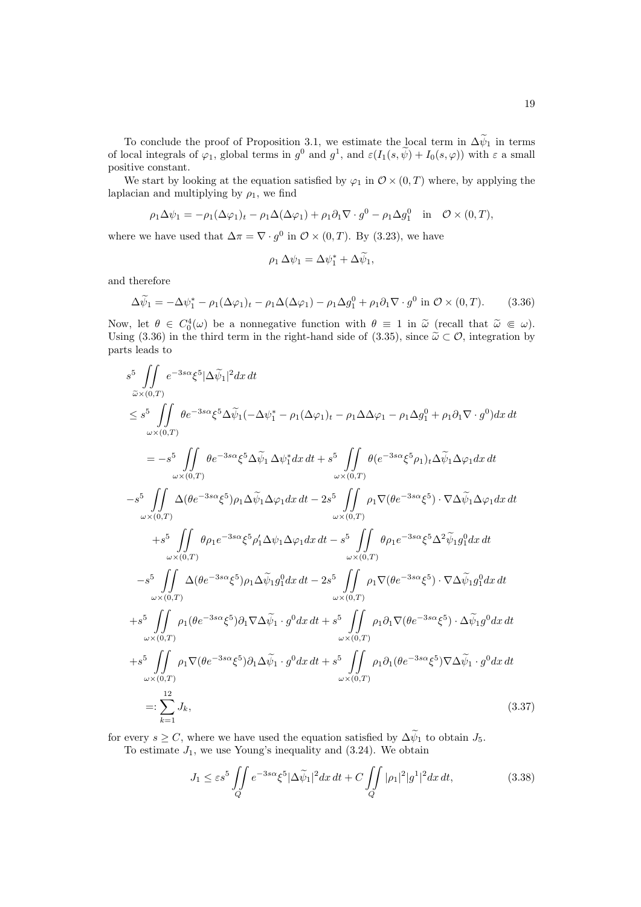To conclude the proof of Proposition 3.1, we estimate the local term in  $\Delta \psi_1$  in terms of local integrals of  $\varphi_1$ , global terms in  $g^0$  and  $g^1$ , and  $\varepsilon(I_1(s, \psi) + I_0(s, \varphi))$  with  $\varepsilon$  a small positive constant.

We start by looking at the equation satisfied by  $\varphi_1$  in  $\mathcal{O} \times (0,T)$  where, by applying the laplacian and multiplying by  $\rho_1$ , we find

$$
\rho_1 \Delta \psi_1 = -\rho_1 (\Delta \varphi_1)_t - \rho_1 \Delta (\Delta \varphi_1) + \rho_1 \partial_1 \nabla \cdot g^0 - \rho_1 \Delta g_1^0 \quad \text{in} \quad \mathcal{O} \times (0, T),
$$

where we have used that  $\Delta \pi = \nabla \cdot g^0$  in  $\mathcal{O} \times (0,T)$ . By (3.23), we have

$$
\rho_1 \,\Delta \psi_1 = \Delta \psi_1^* + \Delta \widetilde{\psi}_1,
$$

and therefore

$$
\Delta \widetilde{\psi}_1 = -\Delta \psi_1^* - \rho_1 (\Delta \varphi_1)_t - \rho_1 \Delta (\Delta \varphi_1) - \rho_1 \Delta g_1^0 + \rho_1 \partial_1 \nabla \cdot g^0 \text{ in } \mathcal{O} \times (0, T). \tag{3.36}
$$

Now, let  $\theta \in C_0^4(\omega)$  be a nonnegative function with  $\theta \equiv 1$  in  $\tilde{\omega}$  (recall that  $\tilde{\omega} \in \omega$ ).<br>Heing (3.36) in the third term in the right hand side of (3.35) since  $\tilde{\omega} \in \mathcal{O}$  integration by Using (3.36) in the third term in the right-hand side of (3.35), since  $\tilde{\omega} \subset \mathcal{O}$ , integration by parts leads to

$$
s^{5} \iint_{\omega \times (0,T)} e^{-3s\alpha} \xi^{5} |\Delta \tilde{\psi}_{1}|^{2} dx dt
$$
  
\n
$$
\leq s^{5} \iint_{\omega \times (0,T)} \theta e^{-3s\alpha} \xi^{5} \Delta \tilde{\psi}_{1} (-\Delta \psi_{1}^{*} - \rho_{1} (\Delta \varphi_{1})_{t} - \rho_{1} \Delta \varphi_{1} - \rho_{1} \Delta g_{1}^{0} + \rho_{1} \partial_{1} \nabla \cdot g^{0}) dx dt
$$
  
\n
$$
= -s^{5} \iint_{\omega \times (0,T)} \theta e^{-3s\alpha} \xi^{5} \Delta \tilde{\psi}_{1} \Delta \psi_{1}^{*} dx dt + s^{5} \iint_{\omega \times (0,T)} \theta (e^{-3s\alpha} \xi^{5} \rho_{1})_{t} \Delta \tilde{\psi}_{1} \Delta \varphi_{1} dx dt
$$
  
\n
$$
-s^{5} \iint_{\omega \times (0,T)} \Delta (\theta e^{-3s\alpha} \xi^{5}) \rho_{1} \Delta \tilde{\psi}_{1} \Delta \varphi_{1} dx dt - 2s^{5} \iint_{\omega \times (0,T)} \rho_{1} \nabla (\theta e^{-3s\alpha} \xi^{5}) \cdot \nabla \Delta \tilde{\psi}_{1} \Delta \varphi_{1} dx dt
$$
  
\n
$$
+s^{5} \iint_{\omega \times (0,T)} \theta \rho_{1} e^{-3s\alpha} \xi^{5} \rho_{1}^{\prime} \Delta \psi_{1} \Delta \varphi_{1} dx dt - s^{5} \iint_{\omega \times (0,T)} \theta \rho_{1} e^{-3s\alpha} \xi^{5} \Delta^{2} \tilde{\psi}_{1} g_{1}^{0} dx dt
$$
  
\n
$$
-s^{5} \iint_{\omega \times (0,T)} \Delta (\theta e^{-3s\alpha} \xi^{5}) \rho_{1} \Delta \tilde{\psi}_{1} g_{1}^{0} dx dt - 2s^{5} \iint_{\omega \times (0,T)} \rho_{1} \nabla (\theta e^{-3s\alpha} \xi^{5}) \cdot \nabla \Delta \tilde{\psi}_{1} g_{1}^{0} dx dt
$$
  
\n
$$
+s^{5} \iint_{\omega \times (0,T)} \rho_{1} (\theta e^{-3s\alpha} \xi^{5}) \partial
$$

for every  $s \geq C$ , where we have used the equation satisfied by  $\Delta \tilde{\psi}_1$  to obtain  $J_5$ . To estimate  $J_1$ , we use Young's inequality and (3.24). We obtain

$$
J_1 \le \varepsilon s^5 \iint\limits_Q e^{-3s\alpha} \xi^5 |\Delta \widetilde{\psi}_1|^2 dx dt + C \iint\limits_Q |\rho_1|^2 |g^1|^2 dx dt,
$$
\n(3.38)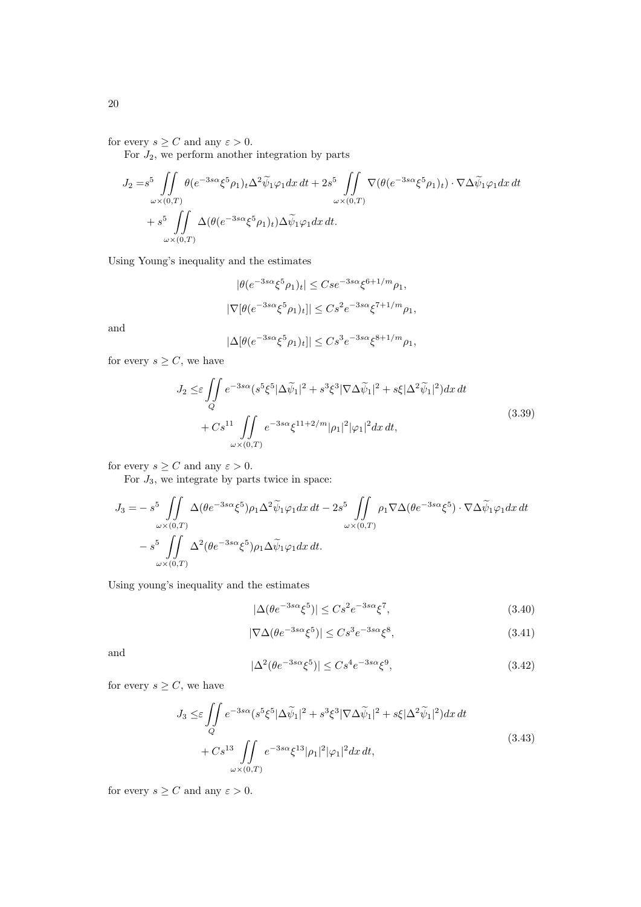for every  $s \geq C$  and any  $\varepsilon > 0$ .

For  $J_2$ , we perform another integration by parts

$$
J_2 = s^5 \iint_{\omega \times (0,T)} \theta(e^{-3s\alpha} \xi^5 \rho_1)_t \Delta^2 \widetilde{\psi}_1 \varphi_1 dx dt + 2s^5 \iint_{\omega \times (0,T)} \nabla(\theta(e^{-3s\alpha} \xi^5 \rho_1)_t) \cdot \nabla \Delta \widetilde{\psi}_1 \varphi_1 dx dt
$$
  
+ 
$$
s^5 \iint_{\omega \times (0,T)} \Delta(\theta(e^{-3s\alpha} \xi^5 \rho_1)_t) \Delta \widetilde{\psi}_1 \varphi_1 dx dt.
$$

Using Young's inequality and the estimates

$$
|\theta(e^{-3s\alpha}\xi^5\rho_1)_t| \leq Cse^{-3s\alpha}\xi^{6+1/m}\rho_1,
$$
  

$$
|\nabla[\theta(e^{-3s\alpha}\xi^5\rho_1)_t]| \leq Cs^2e^{-3s\alpha}\xi^{7+1/m}\rho_1,
$$

and

$$
|\Delta[\theta(e^{-3s\alpha}\xi^5\rho_1)_t]| \le Cs^3e^{-3s\alpha}\xi^{8+1/m}\rho_1,
$$

for every  $s \geq C$ , we have

$$
J_2 \leq \varepsilon \iint\limits_Q e^{-3s\alpha} (s^5 \xi^5 |\Delta \widetilde{\psi}_1|^2 + s^3 \xi^3 |\nabla \Delta \widetilde{\psi}_1|^2 + s \xi |\Delta^2 \widetilde{\psi}_1|^2) dx dt + Cs^{11} \iint\limits_{\omega \times (0,T)} e^{-3s\alpha} \xi^{11+2/m} |\rho_1|^2 |\varphi_1|^2 dx dt,
$$
\n(3.39)

for every  $s \geq C$  and any  $\varepsilon > 0$ .

For  $J_3$ , we integrate by parts twice in space:

$$
J_3 = -s^5 \iint\limits_{\omega \times (0,T)} \Delta(\theta e^{-3s\alpha} \xi^5) \rho_1 \Delta^2 \widetilde{\psi}_1 \varphi_1 dx dt - 2s^5 \iint\limits_{\omega \times (0,T)} \rho_1 \nabla \Delta(\theta e^{-3s\alpha} \xi^5) \cdot \nabla \Delta \widetilde{\psi}_1 \varphi_1 dx dt
$$
  

$$
-s^5 \iint\limits_{\omega \times (0,T)} \Delta^2(\theta e^{-3s\alpha} \xi^5) \rho_1 \Delta \widetilde{\psi}_1 \varphi_1 dx dt.
$$

Using young's inequality and the estimates

$$
|\Delta(\theta e^{-3s\alpha}\xi^5)| \le Cs^2 e^{-3s\alpha}\xi^7,\tag{3.40}
$$

$$
|\nabla \Delta(\theta e^{-3s\alpha}\xi^5)| \le Cs^3 e^{-3s\alpha}\xi^8,\tag{3.41}
$$

and

$$
|\Delta^2(\theta e^{-3s\alpha}\xi^5)| \le Cs^4 e^{-3s\alpha}\xi^9,\tag{3.42}
$$

for every  $s \geq C$ , we have

$$
J_3 \leq \varepsilon \iint\limits_{Q} e^{-3s\alpha} (s^5 \xi^5 |\Delta \widetilde{\psi}_1|^2 + s^3 \xi^3 |\nabla \Delta \widetilde{\psi}_1|^2 + s \xi |\Delta^2 \widetilde{\psi}_1|^2) dx dt + Cs^{13} \iint\limits_{\omega \times (0,T)} e^{-3s\alpha} \xi^{13} |\rho_1|^2 |\varphi_1|^2 dx dt,
$$
\n(3.43)

for every  $s \geq C$  and any  $\varepsilon > 0$ .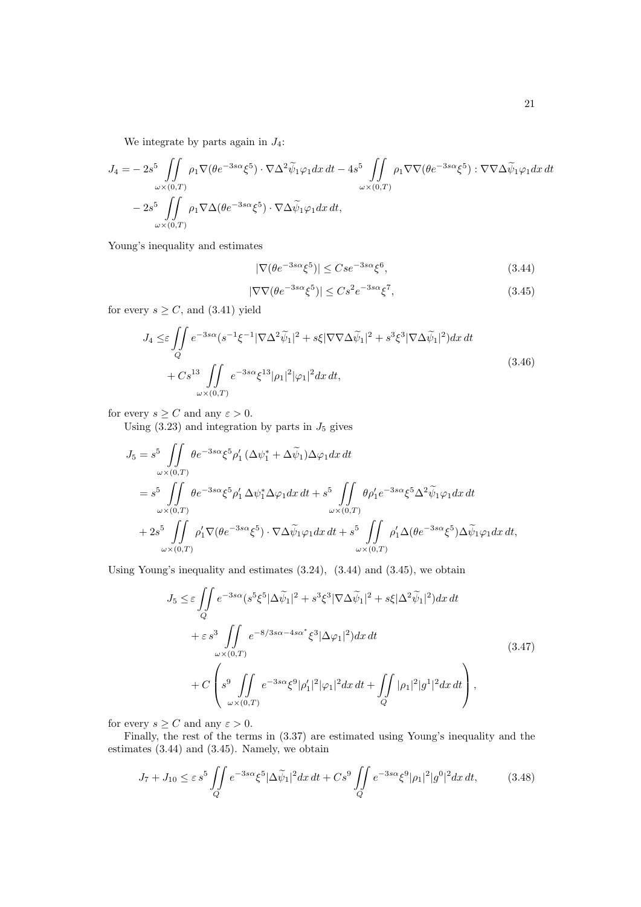We integrate by parts again in  $J_4$ :

$$
J_4 = -2s^5 \iint_{\omega \times (0,T)} \rho_1 \nabla (\theta e^{-3s\alpha} \xi^5) \cdot \nabla \Delta^2 \widetilde{\psi}_1 \varphi_1 dx dt - 4s^5 \iint_{\omega \times (0,T)} \rho_1 \nabla \nabla (\theta e^{-3s\alpha} \xi^5) \cdot \nabla \nabla \Delta \widetilde{\psi}_1 \varphi_1 dx dt
$$
  

$$
- 2s^5 \iint_{\omega \times (0,T)} \rho_1 \nabla \Delta (\theta e^{-3s\alpha} \xi^5) \cdot \nabla \Delta \widetilde{\psi}_1 \varphi_1 dx dt,
$$

Young's inequality and estimates

$$
|\nabla(\theta e^{-3s\alpha}\xi^5)| \leq Cse^{-3s\alpha}\xi^6,\tag{3.44}
$$

$$
|\nabla \nabla(\theta e^{-3s\alpha}\xi^5)| \le Cs^2 e^{-3s\alpha}\xi^7,\tag{3.45}
$$

for every  $s \geq C$ , and (3.41) yield

$$
J_4 \leq \varepsilon \iint\limits_Q e^{-3s\alpha} (s^{-1}\xi^{-1}|\nabla\Delta^2 \widetilde{\psi}_1|^2 + s\xi|\nabla\nabla\Delta \widetilde{\psi}_1|^2 + s^3\xi^3|\nabla\Delta \widetilde{\psi}_1|^2)dx dt + Cs^{13} \iint\limits_{\omega \times (0,T)} e^{-3s\alpha} \xi^{13} |\rho_1|^2 |\varphi_1|^2 dx dt,
$$
\n(3.46)

for every  $s \geq C$  and any  $\varepsilon > 0$ .

Using  $(3.23)$  and integration by parts in  $J_5$  gives

$$
J_5 = s^5 \iint_{\omega \times (0,T)} \theta e^{-3s\alpha} \xi^5 \rho'_1 (\Delta \psi_1^* + \Delta \tilde{\psi}_1) \Delta \varphi_1 dx dt
$$
  
\n
$$
= s^5 \iint_{\omega \times (0,T)} \theta e^{-3s\alpha} \xi^5 \rho'_1 \Delta \psi_1^* \Delta \varphi_1 dx dt + s^5 \iint_{\omega \times (0,T)} \theta \rho'_1 e^{-3s\alpha} \xi^5 \Delta^2 \tilde{\psi}_1 \varphi_1 dx dt
$$
  
\n
$$
+ 2s^5 \iint_{\omega \times (0,T)} \rho'_1 \nabla (\theta e^{-3s\alpha} \xi^5) \cdot \nabla \Delta \tilde{\psi}_1 \varphi_1 dx dt + s^5 \iint_{\omega \times (0,T)} \rho'_1 \Delta (\theta e^{-3s\alpha} \xi^5) \Delta \tilde{\psi}_1 \varphi_1 dx dt,
$$

Using Young's inequality and estimates (3.24), (3.44) and (3.45), we obtain

$$
J_5 \leq \varepsilon \iint_Q e^{-3s\alpha} (s^5 \xi^5 |\Delta \widetilde{\psi}_1|^2 + s^3 \xi^3 |\nabla \Delta \widetilde{\psi}_1|^2 + s \xi |\Delta^2 \widetilde{\psi}_1|^2) dx dt + \varepsilon s^3 \iint_{\omega \times (0,T)} e^{-8/3s\alpha - 4s\alpha^*} \xi^3 |\Delta \varphi_1|^2) dx dt + C \left( s^9 \iint_{\omega \times (0,T)} e^{-3s\alpha} \xi^9 |\rho_1'|^2 |\varphi_1|^2 dx dt + \iint_Q |\rho_1|^2 |g^1|^2 dx dt \right),
$$
\n(3.47)

for every  $s \geq C$  and any  $\varepsilon > 0$ .

Finally, the rest of the terms in (3.37) are estimated using Young's inequality and the estimates (3.44) and (3.45). Namely, we obtain

$$
J_7 + J_{10} \le \varepsilon s^5 \iint\limits_Q e^{-3s\alpha} \xi^5 |\Delta \widetilde{\psi}_1|^2 dx \, dt + Cs^9 \iint\limits_Q e^{-3s\alpha} \xi^9 |\rho_1|^2 |g^0|^2 dx \, dt,\tag{3.48}
$$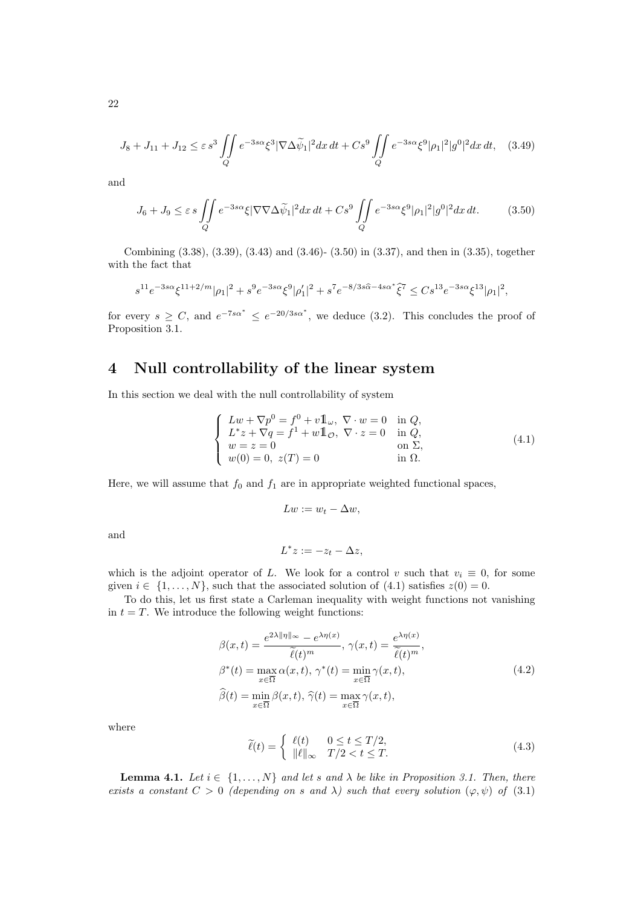$$
J_8 + J_{11} + J_{12} \le \varepsilon s^3 \iint\limits_Q e^{-3s\alpha} \xi^3 |\nabla \Delta \widetilde{\psi}_1|^2 dx \, dt + Cs^9 \iint\limits_Q e^{-3s\alpha} \xi^9 |\rho_1|^2 |g^0|^2 dx \, dt, \quad (3.49)
$$

and

$$
J_6 + J_9 \le \varepsilon s \iint\limits_Q e^{-3s\alpha} \xi |\nabla \nabla \Delta \widetilde{\psi}_1|^2 dx dt + Cs^9 \iint\limits_Q e^{-3s\alpha} \xi^9 |\rho_1|^2 |g^0|^2 dx dt.
$$
 (3.50)

Combining (3.38), (3.39), (3.43) and (3.46)- (3.50) in (3.37), and then in (3.35), together with the fact that

$$
s^{11}e^{-3s\alpha}\xi^{11+2/m}|\rho_1|^2+s^9e^{-3s\alpha}\xi^9|\rho_1'|^2+s^7e^{-8/3s\widehat{\alpha}-4s\alpha^*}\widehat{\xi}^7\leq Cs^{13}e^{-3s\alpha}\xi^{13}|\rho_1|^2,
$$

for every  $s \geq C$ , and  $e^{-7s\alpha^*} \leq e^{-20/3s\alpha^*}$ , we deduce (3.2). This concludes the proof of Proposition 3.1.

# 4 Null controllability of the linear system

In this section we deal with the null controllability of system

$$
\begin{cases}\nLw + \nabla p^0 = f^0 + v \mathbb{1}_{\omega}, \ \nabla \cdot w = 0 & \text{in } Q, \\
L^*z + \nabla q = f^1 + w \mathbb{1}_{\mathcal{O}}, \ \nabla \cdot z = 0 & \text{in } Q, \\
w = z = 0 & \text{on } \Sigma, \\
w(0) = 0, \ z(T) = 0 & \text{in } \Omega.\n\end{cases}
$$
\n(4.1)

Here, we will assume that  $f_0$  and  $f_1$  are in appropriate weighted functional spaces,

$$
Lw := w_t - \Delta w,
$$

and

$$
L^*z := -z_t - \Delta z,
$$

which is the adjoint operator of L. We look for a control v such that  $v_i \equiv 0$ , for some given  $i \in \{1, \ldots, N\}$ , such that the associated solution of  $(4.1)$  satisfies  $z(0) = 0$ .

To do this, let us first state a Carleman inequality with weight functions not vanishing in  $t = T$ . We introduce the following weight functions:

$$
\beta(x,t) = \frac{e^{2\lambda \|\eta\|_{\infty}} - e^{\lambda \eta(x)}}{\tilde{\ell}(t)^m}, \ \gamma(x,t) = \frac{e^{\lambda \eta(x)}}{\tilde{\ell}(t)^m},
$$

$$
\beta^*(t) = \max_{x \in \overline{\Omega}} \alpha(x,t), \ \gamma^*(t) = \min_{x \in \overline{\Omega}} \gamma(x,t),
$$

$$
\widehat{\beta}(t) = \min_{x \in \overline{\Omega}} \beta(x,t), \ \widehat{\gamma}(t) = \max_{x \in \overline{\Omega}} \gamma(x,t),
$$
\n(4.2)

where

$$
\widetilde{\ell}(t) = \begin{cases}\n\ell(t) & 0 \le t \le T/2, \\
\|\ell\|_{\infty} & T/2 < t \le T.\n\end{cases}
$$
\n(4.3)

**Lemma 4.1.** Let  $i \in \{1, ..., N\}$  and let s and  $\lambda$  be like in Proposition 3.1. Then, there exists a constant  $C > 0$  (depending on s and  $\lambda$ ) such that every solution  $(\varphi, \psi)$  of (3.1)

22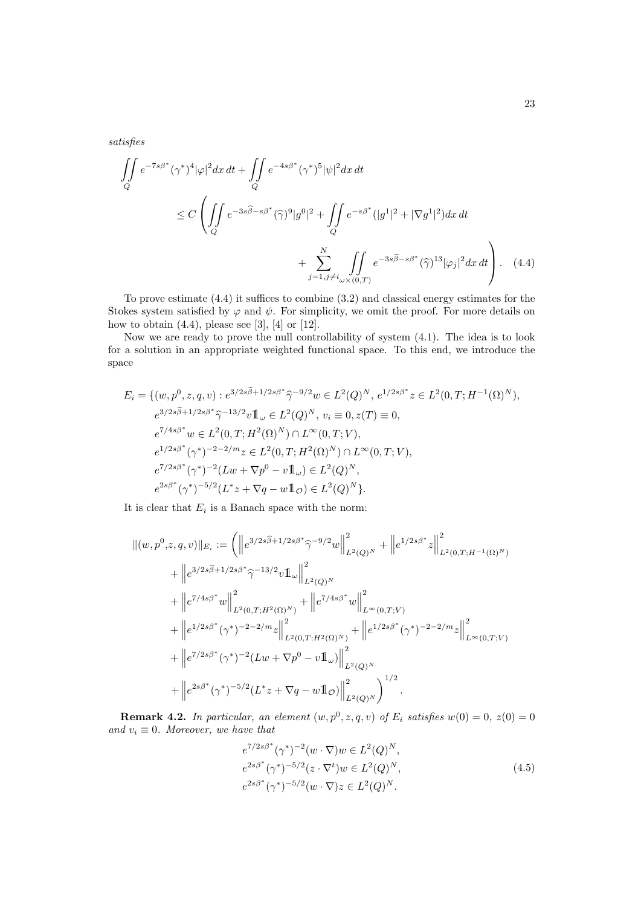satisfies

$$
\iint_{Q} e^{-7s\beta^*} (\gamma^*)^4 |\varphi|^2 dx dt + \iint_{Q} e^{-4s\beta^*} (\gamma^*)^5 |\psi|^2 dx dt
$$
  
\n
$$
\leq C \left( \iint_{Q} e^{-3s\widehat{\beta} - s\beta^*} (\widehat{\gamma})^9 |g^0|^2 + \iint_{Q} e^{-s\beta^*} (|g^1|^2 + |\nabla g^1|^2) dx dt + \sum_{j=1, j\neq i_{\omega} \times (0,T)}^N \iint_{Q} e^{-3s\widehat{\beta} - s\beta^*} (\widehat{\gamma})^{13} |\varphi_j|^2 dx dt \right).
$$
 (4.4)

To prove estimate (4.4) it suffices to combine (3.2) and classical energy estimates for the Stokes system satisfied by  $\varphi$  and  $\psi$ . For simplicity, we omit the proof. For more details on how to obtain  $(4.4)$ , please see [3], [4] or [12].

Now we are ready to prove the null controllability of system (4.1). The idea is to look for a solution in an appropriate weighted functional space. To this end, we introduce the space

$$
E_i = \{ (w, p^0, z, q, v) : e^{3/2s\hat{\beta} + 1/2s\beta^*} \hat{\gamma}^{-9/2} w \in L^2(Q)^N, e^{1/2s\beta^*} z \in L^2(0, T; H^{-1}(\Omega)^N),
$$
  
\n
$$
e^{3/2s\hat{\beta} + 1/2s\beta^*} \hat{\gamma}^{-13/2} v \mathbb{1}_{\omega} \in L^2(Q)^N, v_i \equiv 0, z(T) \equiv 0,
$$
  
\n
$$
e^{7/4s\beta^*} w \in L^2(0, T; H^2(\Omega)^N) \cap L^\infty(0, T; V),
$$
  
\n
$$
e^{1/2s\beta^*} (\gamma^*)^{-2-2/m} z \in L^2(0, T; H^2(\Omega)^N) \cap L^\infty(0, T; V),
$$
  
\n
$$
e^{7/2s\beta^*} (\gamma^*)^{-2} (Lw + \nabla p^0 - v \mathbb{1}_{\omega}) \in L^2(Q)^N,
$$
  
\n
$$
e^{2s\beta^*} (\gamma^*)^{-5/2} (L^*z + \nabla q - w \mathbb{1}_{\mathcal{O}}) \in L^2(Q)^N \}.
$$

It is clear that  $E_i$  is a Banach space with the norm:

$$
\begin{split} \|(w,p^0,z,q,v)\|_{E_i} &:= \left( \left\| e^{3/2s\widehat{\beta}+1/2s\beta^*}\widehat{\gamma}^{-9/2}w \right\|_{L^2(Q)^N}^2 + \left\| e^{1/2s\beta^*}z \right\|_{L^2(0,T;H^{-1}(\Omega)^N)}^2 \right. \\ & \left. + \left\| e^{3/2s\widehat{\beta}+1/2s\beta^*}\widehat{\gamma}^{-13/2}v\mathbf{1}_{\omega} \right\|_{L^2(Q)^N}^2 \right. \\ & \left. + \left\| e^{7/4s\beta^*}w \right\|_{L^2(0,T;H^2(\Omega)^N)}^2 + \left\| e^{7/4s\beta^*}w \right\|_{L^\infty(0,T;V)}^2 \right. \\ & \left. + \left\| e^{1/2s\beta^*}(\gamma^*)^{-2-2/m}z \right\|_{L^2(0,T;H^2(\Omega)^N)}^2 + \left\| e^{1/2s\beta^*}(\gamma^*)^{-2-2/m}z \right\|_{L^\infty(0,T;V)}^2 \right. \\ & \left. + \left\| e^{7/2s\beta^*}(\gamma^*)^{-2}(Lw+\nabla p^0-v\mathbf{1}_{\omega}) \right\|_{L^2(Q)^N}^2 \right. \\ & \left. + \left\| e^{2s\beta^*}(\gamma^*)^{-5/2}(L^*z+\nabla q-w\mathbf{1}_{\mathcal{O}}) \right\|_{L^2(Q)^N}^2 \right)^{1/2} . \end{split}
$$

**Remark 4.2.** In particular, an element  $(w, p^0, z, q, v)$  of  $E_i$  satisfies  $w(0) = 0$ ,  $z(0) = 0$ and  $v_i \equiv 0$ . Moreover, we have that

$$
e^{7/2s\beta^*}(\gamma^*)^{-2}(w \cdot \nabla)w \in L^2(Q)^N,
$$
  
\n
$$
e^{2s\beta^*}(\gamma^*)^{-5/2}(z \cdot \nabla^t)w \in L^2(Q)^N,
$$
  
\n
$$
e^{2s\beta^*}(\gamma^*)^{-5/2}(w \cdot \nabla)z \in L^2(Q)^N.
$$
\n(4.5)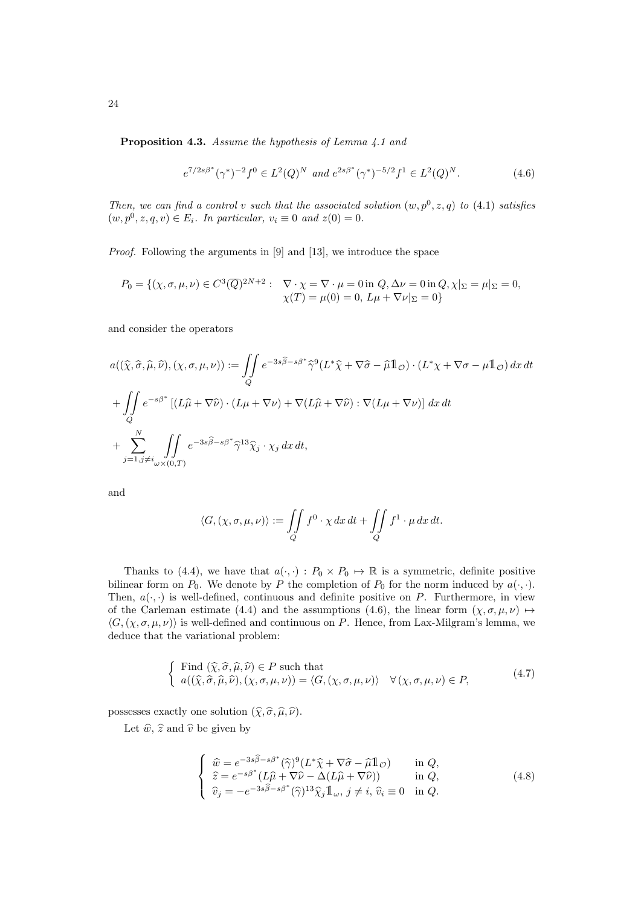Proposition 4.3. Assume the hypothesis of Lemma 4.1 and

$$
e^{7/2s\beta^*}(\gamma^*)^{-2}f^0 \in L^2(Q)^N \text{ and } e^{2s\beta^*}(\gamma^*)^{-5/2}f^1 \in L^2(Q)^N. \tag{4.6}
$$

Then, we can find a control v such that the associated solution  $(w, p^0, z, q)$  to  $(4.1)$  satisfies  $(w, p^0, z, q, v) \in E_i$ . In particular,  $v_i \equiv 0$  and  $z(0) = 0$ .

Proof. Following the arguments in [9] and [13], we introduce the space

$$
P_0 = \{ (\chi, \sigma, \mu, \nu) \in C^3(\overline{Q})^{2N+2} : \nabla \cdot \chi = \nabla \cdot \mu = 0 \text{ in } Q, \Delta \nu = 0 \text{ in } Q, \chi|_{\Sigma} = \mu|_{\Sigma} = 0, \nabla \cdot \chi = 0 \text{ in } Q, \chi|_{\Sigma} = \mu|_{\Sigma} = 0, \nabla \cdot \chi = 0 \text{ in } Q, \chi|_{\Sigma} = 0 \}
$$

and consider the operators

$$
a((\hat{\chi}, \hat{\sigma}, \hat{\mu}, \hat{\nu}), (\chi, \sigma, \mu, \nu)) := \iint_{Q} e^{-3s\hat{\beta} - s\beta^*} \hat{\gamma}^9(L^*\hat{\chi} + \nabla \hat{\sigma} - \hat{\mu} \mathbb{1}_{\mathcal{O}}) \cdot (L^*\chi + \nabla \sigma - \mu \mathbb{1}_{\mathcal{O}}) \, dx \, dt
$$
  
+ 
$$
\iint_{Q} e^{-s\beta^*} \left[ (L\hat{\mu} + \nabla \hat{\nu}) \cdot (L\mu + \nabla \nu) + \nabla (L\hat{\mu} + \nabla \hat{\nu}) : \nabla (L\mu + \nabla \nu) \right] \, dx \, dt
$$
  
+ 
$$
\sum_{j=1, j \neq i}^{N} \iint_{\omega \times (0, T)} e^{-3s\hat{\beta} - s\beta^*} \hat{\gamma}^{13} \hat{\chi}_j \cdot \chi_j \, dx \, dt,
$$

and

$$
\langle G, (\chi, \sigma, \mu, \nu) \rangle := \iint\limits_{Q} f^{0} \cdot \chi \, dx \, dt + \iint\limits_{Q} f^{1} \cdot \mu \, dx \, dt.
$$

Thanks to (4.4), we have that  $a(\cdot, \cdot) : P_0 \times P_0 \to \mathbb{R}$  is a symmetric, definite positive bilinear form on  $P_0$ . We denote by P the completion of  $P_0$  for the norm induced by  $a(\cdot, \cdot)$ . Then,  $a(\cdot, \cdot)$  is well-defined, continuous and definite positive on P. Furthermore, in view of the Carleman estimate (4.4) and the assumptions (4.6), the linear form  $(\chi, \sigma, \mu, \nu) \mapsto$  $\langle G,(\chi,\sigma,\mu,\nu)\rangle$  is well-defined and continuous on P. Hence, from Lax-Milgram's lemma, we deduce that the variational problem:

$$
\begin{cases}\n\text{Find } (\widehat{\chi}, \widehat{\sigma}, \widehat{\mu}, \widehat{\nu}) \in P \text{ such that} \\
a((\widehat{\chi}, \widehat{\sigma}, \widehat{\mu}, \widehat{\nu}), (\chi, \sigma, \mu, \nu)) = \langle G, (\chi, \sigma, \mu, \nu) \rangle \quad \forall (\chi, \sigma, \mu, \nu) \in P,\n\end{cases} \tag{4.7}
$$

possesses exactly one solution  $(\widehat{\chi}, \widehat{\sigma}, \widehat{\mu}, \widehat{\nu}).$ 

Let  $\widehat{w}$ ,  $\widehat{z}$  and  $\widehat{v}$  be given by

$$
\begin{cases}\n\widehat{w} = e^{-3s\widehat{\beta} - s\beta^*} (\widehat{\gamma})^9 (L^* \widehat{\chi} + \nabla \widehat{\sigma} - \widehat{\mu} \mathbb{1}_{\mathcal{O}}) & \text{in } Q, \\
\widehat{z} = e^{-s\beta^*} (L\widehat{\mu} + \nabla \widehat{\nu} - \Delta(L\widehat{\mu} + \nabla \widehat{\nu})) & \text{in } Q, \\
\widehat{v}_j = -e^{-3s\widehat{\beta} - s\beta^*} (\widehat{\gamma})^{13} \widehat{\chi}_j \mathbb{1}_{\omega}, \ j \neq i, \ \widehat{v}_i \equiv 0 & \text{in } Q.\n\end{cases}
$$
\n(4.8)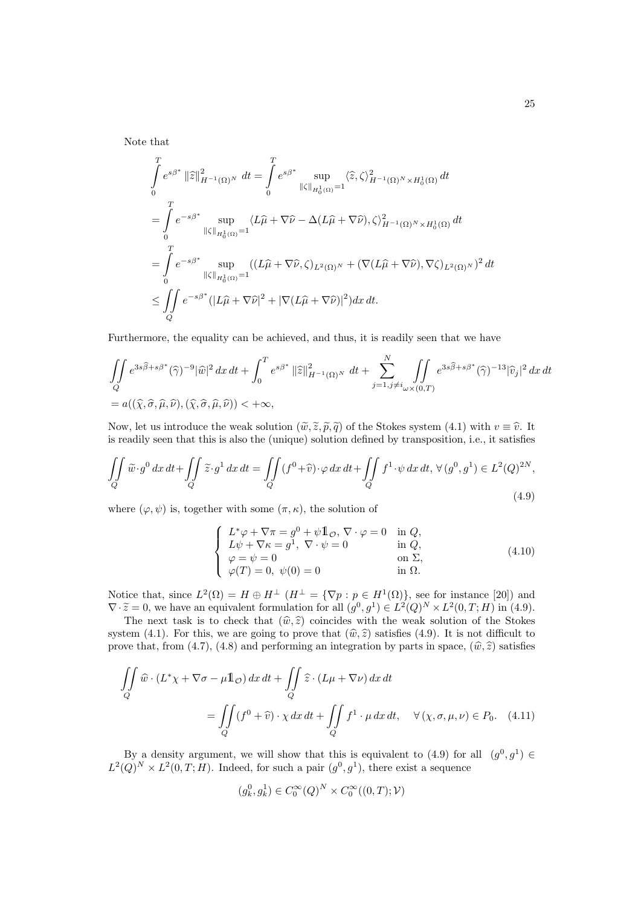Note that

$$
\int_{0}^{T} e^{s\beta^{*}} ||\widehat{z}||_{H^{-1}(\Omega)^{N}}^{2} dt = \int_{0}^{T} e^{s\beta^{*}} \sup_{||\zeta||_{H_{0}^{1}(\Omega)}=1} \langle \widehat{z}, \zeta \rangle_{H^{-1}(\Omega)^{N} \times H_{0}^{1}(\Omega)}^{2} dt
$$
\n
$$
= \int_{0}^{T} e^{-s\beta^{*}} \sup_{||\zeta||_{H_{0}^{1}(\Omega)}=1} \langle L\widehat{\mu} + \nabla\widehat{\nu} - \Delta(L\widehat{\mu} + \nabla\widehat{\nu}), \zeta \rangle_{H^{-1}(\Omega)^{N} \times H_{0}^{1}(\Omega)}^{2} dt
$$
\n
$$
= \int_{0}^{T} e^{-s\beta^{*}} \sup_{||\zeta||_{H_{0}^{1}(\Omega)}=1} ((L\widehat{\mu} + \nabla\widehat{\nu}, \zeta)_{L^{2}(\Omega)^{N}} + (\nabla(L\widehat{\mu} + \nabla\widehat{\nu}), \nabla\zeta)_{L^{2}(\Omega)^{N}})^{2} dt
$$
\n
$$
\leq \iint_{Q} e^{-s\beta^{*}} (|L\widehat{\mu} + \nabla\widehat{\nu}|^{2} + |\nabla(L\widehat{\mu} + \nabla\widehat{\nu})|^{2}) dx dt.
$$

Furthermore, the equality can be achieved, and thus, it is readily seen that we have

$$
\iint\limits_{Q} e^{3s\widehat{\beta}+s\beta^*}(\widehat{\gamma})^{-9}|\widehat{w}|^2 dx dt + \int_0^T e^{s\beta^*} ||\widehat{z}||_{H^{-1}(\Omega)^N}^2 dt + \sum_{j=1, j\neq i}^N \iint\limits_{\omega \times (0,T)} e^{3s\widehat{\beta}+s\beta^*}(\widehat{\gamma})^{-13} |\widehat{v}_j|^2 dx dt
$$
  
=  $a((\widehat{\chi}, \widehat{\sigma}, \widehat{\mu}, \widehat{\nu}), (\widehat{\chi}, \widehat{\sigma}, \widehat{\mu}, \widehat{\nu})) < +\infty,$ 

Now, let us introduce the weak solution  $(\tilde{w}, \tilde{z}, \tilde{p}, \tilde{q})$  of the Stokes system (4.1) with  $v \equiv \hat{v}$ . It is readily seen that this is also the (unique) solution defined by transposition, i.e., it satisfies

$$
\iint\limits_{Q} \widetilde{w} \cdot g^{0} dx dt + \iint\limits_{Q} \widetilde{z} \cdot g^{1} dx dt = \iint\limits_{Q} (f^{0} + \widehat{v}) \cdot \varphi dx dt + \iint\limits_{Q} f^{1} \cdot \psi dx dt, \ \forall (g^{0}, g^{1}) \in L^{2}(Q)^{2N},\tag{4.9}
$$

where  $(\varphi, \psi)$  is, together with some  $(\pi, \kappa)$ , the solution of

$$
\begin{cases}\nL^*\varphi + \nabla \pi = g^0 + \psi \mathbb{1}_\mathcal{O}, \nabla \cdot \varphi = 0 & \text{in } Q, \\
L\psi + \nabla \kappa = g^1, \nabla \cdot \psi = 0 & \text{in } Q, \\
\varphi = \psi = 0 & \text{on } \Sigma, \\
\varphi(T) = 0, \psi(0) = 0 & \text{in } \Omega.\n\end{cases}
$$
\n(4.10)

Notice that, since  $L^2(\Omega) = H \oplus H^{\perp}$   $(H^{\perp} = {\nabla p : p \in H^1(\Omega)}$ , see for instance [20]) and  $\nabla \cdot \widetilde{z} = 0$ , we have an equivalent formulation for all  $(g^0, g^1) \in L^2(Q)^N \times L^2(0, T; H)$  in (4.9).<br>The next test is to shock that  $(\widehat{w}, \widehat{z})$  soingides with the week solution of the Stekes

The next task is to check that  $(\hat{w}, \hat{z})$  coincides with the weak solution of the Stokes system (4.1). For this, we are going to prove that  $(\hat{w}, \hat{z})$  satisfies (4.9). It is not difficult to prove that, from (4.7), (4.8) and performing an integration by parts in space,  $(\hat{w}, \hat{z})$  satisfies

$$
\iint\limits_{Q} \widehat{w} \cdot (L^* \chi + \nabla \sigma - \mu \mathbb{1}_{\mathcal{O}}) dx dt + \iint\limits_{Q} \widehat{z} \cdot (L\mu + \nabla \nu) dx dt
$$

$$
= \iint\limits_{Q} (f^0 + \widehat{v}) \cdot \chi dx dt + \iint\limits_{Q} f^1 \cdot \mu dx dt, \quad \forall (\chi, \sigma, \mu, \nu) \in P_0. \quad (4.11)
$$

By a density argument, we will show that this is equivalent to (4.9) for all  $(g^0, g^1) \in$  $L^2(Q)^N \times L^2(0,T;H)$ . Indeed, for such a pair  $(g^0, g^1)$ , there exist a sequence

$$
(g_k^0, g_k^1) \in C_0^{\infty}(Q)^N \times C_0^{\infty}((0,T); \mathcal{V})
$$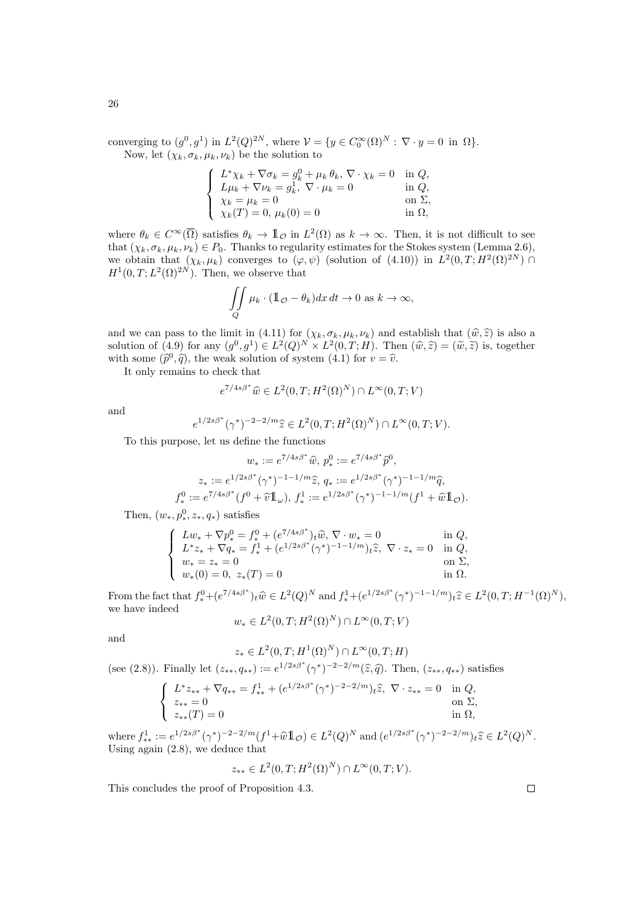converging to  $(g^0, g^1)$  in  $L^2(Q)^{2N}$ , where  $\mathcal{V} = \{y \in C_0^{\infty}(\Omega)^N : \nabla \cdot y = 0 \text{ in } \Omega\}.$ Now, let  $(\chi_k, \sigma_k, \mu_k, \nu_k)$  be the solution to

$$
\begin{cases}\nL^*\chi_k + \nabla \sigma_k = g_k^0 + \mu_k \theta_k, \nabla \cdot \chi_k = 0 & \text{in } Q, \\
L\mu_k + \nabla \nu_k = g_k^1, \nabla \cdot \mu_k = 0 & \text{in } Q, \\
\chi_k = \mu_k = 0 & \text{on } \Sigma, \\
\chi_k(T) = 0, \mu_k(0) = 0 & \text{in } \Omega,\n\end{cases}
$$

where  $\theta_k \in C^{\infty}(\overline{\Omega})$  satisfies  $\theta_k \to \mathbb{1}_{\mathcal{O}}$  in  $L^2(\Omega)$  as  $k \to \infty$ . Then, it is not difficult to see that  $(\chi_k, \sigma_k, \mu_k, \nu_k) \in P_0$ . Thanks to regularity estimates for the Stokes system (Lemma 2.6), we obtain that  $(\chi_k, \mu_k)$  converges to  $(\varphi, \psi)$  (solution of  $(4.10)$ ) in  $L^2(0,T;H^2(\Omega)^{2N}) \cap$  $H^1(0,T;L^2(\Omega)^{2N})$ . Then, we observe that

$$
\iint\limits_{Q} \mu_k \cdot (\mathbb{1}_{\mathcal{O}} - \theta_k) dx dt \to 0 \text{ as } k \to \infty,
$$

and we can pass to the limit in (4.11) for  $(\chi_k, \sigma_k, \mu_k, \nu_k)$  and establish that  $(\hat{w}, \hat{z})$  is also a solution of (4.9) for any  $(g^0, g^1) \in L^2(Q)^N \times L^2(0,T;H)$ . Then  $(\widehat{w}, \widehat{z}) = (\widetilde{w}, \widetilde{z})$  is, together with some  $(\hat{p}^0, \hat{q})$ , the weak solution of system (4.1) for  $v = \hat{v}$ .

It only remains to check that

$$
e^{7/4s\beta^*}\widehat{w} \in L^2(0,T;H^2(\Omega)^N) \cap L^\infty(0,T;V)
$$

and

$$
e^{1/2s\beta^*}(\gamma^*)^{-2-2/m}\hat{z}\in L^2(0,T;H^2(\Omega)^N)\cap L^\infty(0,T;V).
$$

To this purpose, let us define the functions

$$
w_* := e^{7/4s\beta^*}\hat{w}, p_*^0 := e^{7/4s\beta^*}\hat{p}^0,
$$
  
\n
$$
z_* := e^{1/2s\beta^*}(\gamma^*)^{-1-1/m}\hat{z}, q_* := e^{1/2s\beta^*}(\gamma^*)^{-1-1/m}\hat{q},
$$
  
\n
$$
f_*^0 := e^{7/4s\beta^*}(f^0 + \hat{v}\mathbb{1}_{\omega}), f_*^1 := e^{1/2s\beta^*}(\gamma^*)^{-1-1/m}(f^1 + \hat{w}\mathbb{1}_{\mathcal{O}}).
$$

Then,  $(w_*, p_*^0, z_*, q_*)$  satisfies

$$
\left\{\begin{array}{ll} L w_* + \nabla p_*^0 = f_*^0 + (e^{7/4s\beta^*})_t \widehat{w}, \nabla \cdot w_* = 0 & \textrm{in } Q,\\ L^* z_* + \nabla q_* = f_*^1 + (e^{1/2s\beta^*} (\gamma^*)^{-1-1/m})_t \widehat{z}, \ \nabla \cdot z_* = 0 & \textrm{in } Q,\\ w_* = z_* = 0 & \textrm{on } \Sigma,\\ w_*(0) = 0, \ z_*(T) = 0 & \textrm{in } \Omega.\end{array}\right.
$$

From the fact that  $f^0_* + (e^{7/4s\beta^*})_t \widehat{w} \in L^2(Q)^N$  and  $f^1_* + (e^{1/2s\beta^*}(\gamma^*)^{-1-1/m})_t \widehat{z} \in L^2(0,T; H^{-1}(\Omega)^N)$ , we have indeed

$$
w_* \in L^2(0,T;H^2(\Omega)^N) \cap L^\infty(0,T;V)
$$

and

$$
z_* \in L^2(0,T;H^1(\Omega)^N) \cap L^\infty(0,T;H)
$$

(see (2.8)). Finally let  $(z_{**}, q_{**}) := e^{1/2s\beta^*} (\gamma^*)^{-2-2/m}(\hat{z}, \hat{q})$ . Then,  $(z_{**}, q_{**})$  satisfies

$$
\begin{cases}\nL^* z_{**} + \nabla q_{**} = f_{**}^1 + (e^{1/2s\beta^*} (\gamma^*)^{-2-2/m})_t \hat{z}, \ \nabla \cdot z_{**} = 0 & \text{in } Q, \\
z_{**} = 0 & \text{on } \Sigma, \\
z_{**}(T) = 0 & \text{in } \Omega,\n\end{cases}
$$

where  $f^1_{**} := e^{1/2s\beta^*} (\gamma^*)^{-2-2/m} (f^1 + \widehat{w} \mathbb{1}_{\mathcal{O}}) \in L^2(Q)^N$  and  $(e^{1/2s\beta^*} (\gamma^*)^{-2-2/m})_t \widehat{z} \in L^2(Q)^N$ .<br>Heing again (2.8), we deduce that Using again (2.8), we deduce that

$$
z_{**} \in L^2(0, T; H^2(\Omega)^N) \cap L^\infty(0, T; V).
$$

This concludes the proof of Proposition 4.3.

 $\Box$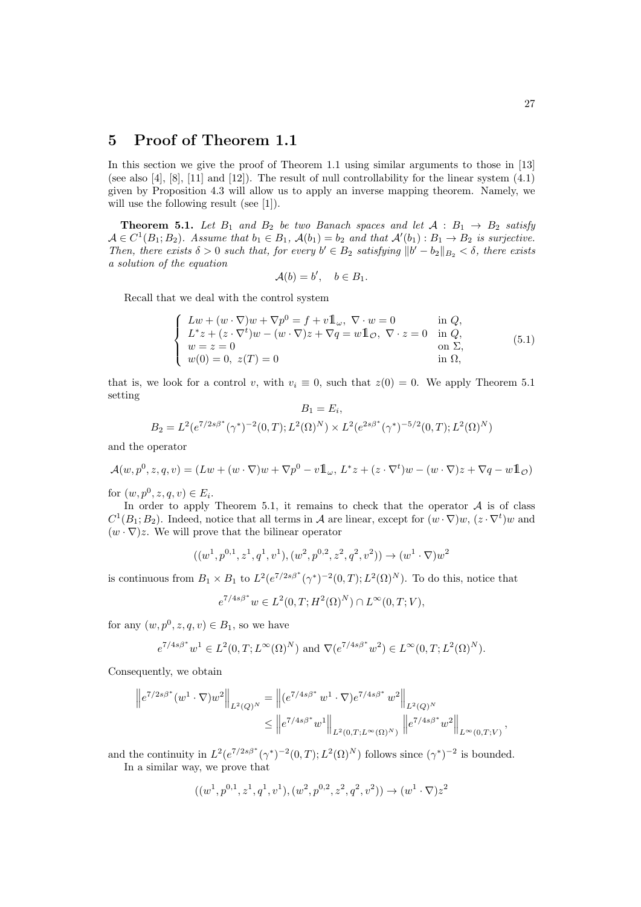## 5 Proof of Theorem 1.1

In this section we give the proof of Theorem 1.1 using similar arguments to those in [13] (see also [4], [8], [11] and [12]). The result of null controllability for the linear system (4.1) given by Proposition 4.3 will allow us to apply an inverse mapping theorem. Namely, we will use the following result (see [1]).

**Theorem 5.1.** Let  $B_1$  and  $B_2$  be two Banach spaces and let  $A : B_1 \rightarrow B_2$  satisfy  $\mathcal{A} \in C^1(B_1; B_2)$ . Assume that  $b_1 \in B_1$ ,  $\mathcal{A}(b_1) = b_2$  and that  $\mathcal{A}'(b_1) : B_1 \to B_2$  is surjective. Then, there exists  $\delta > 0$  such that, for every  $b' \in B_2$  satisfying  $||b' - b_2||_{B_2} < \delta$ , there exists a solution of the equation

$$
\mathcal{A}(b) = b', \quad b \in B_1.
$$

Recall that we deal with the control system

$$
\begin{cases}\nLw + (w \cdot \nabla)w + \nabla p^{0} = f + v \mathbb{1}_{\omega}, \nabla \cdot w = 0 & \text{in } Q, \\
L^{*}z + (z \cdot \nabla^{t})w - (w \cdot \nabla)z + \nabla q = w \mathbb{1}_{\mathcal{O}}, \nabla \cdot z = 0 & \text{in } Q, \\
w = z = 0 & \text{on } \Sigma, \\
w(0) = 0, \ z(T) = 0 & \text{in } \Omega,\n\end{cases}
$$
\n(5.1)

that is, we look for a control v, with  $v_i \equiv 0$ , such that  $z(0) = 0$ . We apply Theorem 5.1 setting  $\overline{D} = \overline{E}$ 

$$
B_1 = E_i,
$$
  
\n
$$
B_2 = L^2(e^{7/2s\beta^*}(\gamma^*)^{-2}(0,T); L^2(\Omega)^N) \times L^2(e^{2s\beta^*}(\gamma^*)^{-5/2}(0,T); L^2(\Omega)^N)
$$

and the operator

$$
\mathcal{A}(w, p^0, z, q, v) = (Lw + (w \cdot \nabla)w + \nabla p^0 - v \mathbb{1}_{\omega}, L^*z + (z \cdot \nabla^t)w - (w \cdot \nabla)z + \nabla q - w \mathbb{1}_{\mathcal{O}})
$$

for  $(w, p^0, z, q, v) \in E_i$ .

In order to apply Theorem 5.1, it remains to check that the operator  $A$  is of class  $C^1(B_1;B_2)$ . Indeed, notice that all terms in A are linear, except for  $(w\cdot \nabla)w$ ,  $(z\cdot \nabla^t)w$  and  $(w \cdot \nabla)z$ . We will prove that the bilinear operator

$$
((w^1, p^{0,1}, z^1, q^1, v^1), (w^2, p^{0,2}, z^2, q^2, v^2)) \rightarrow (w^1 \cdot \nabla)w^2
$$

is continuous from  $B_1 \times B_1$  to  $L^2(e^{7/2s\beta^*}(\gamma^*)^{-2}(0,T); L^2(\Omega)^N)$ . To do this, notice that

$$
e^{7/4s\beta^*}w \in L^2(0,T;H^2(\Omega)^N) \cap L^\infty(0,T;V),
$$

for any  $(w, p^0, z, q, v) \in B_1$ , so we have

$$
e^{7/4s\beta^*}w^1 \in L^2(0,T;L^{\infty}(\Omega)^N)
$$
 and  $\nabla(e^{7/4s\beta^*}w^2) \in L^{\infty}(0,T;L^2(\Omega)^N)$ .

Consequently, we obtain

$$
\begin{aligned} \left\|e^{7/2s\beta^*}(w^1\cdot\nabla)w^2\right\|_{L^2(Q)^N} &= \left\|(e^{7/4s\beta^*}\,w^1\cdot\nabla)e^{7/4s\beta^*}\,w^2\right\|_{L^2(Q)^N} \\ &\leq \left\|e^{7/4s\beta^*}\,w^1\right\|_{L^2(0,T;L^\infty(\Omega)^N)}\,\left\|e^{7/4s\beta^*}\,w^2\right\|_{L^\infty(0,T;V)}, \end{aligned}
$$

and the continuity in  $L^2(e^{7/2s\beta^*}(\gamma^*)^{-2}(0,T);L^2(\Omega)^N)$  follows since  $(\gamma^*)^{-2}$  is bounded.

In a similar way, we prove that

$$
((w^1, p^{0,1}, z^1, q^1, v^1), (w^2, p^{0,2}, z^2, q^2, v^2)) \rightarrow (w^1 \cdot \nabla) z^2
$$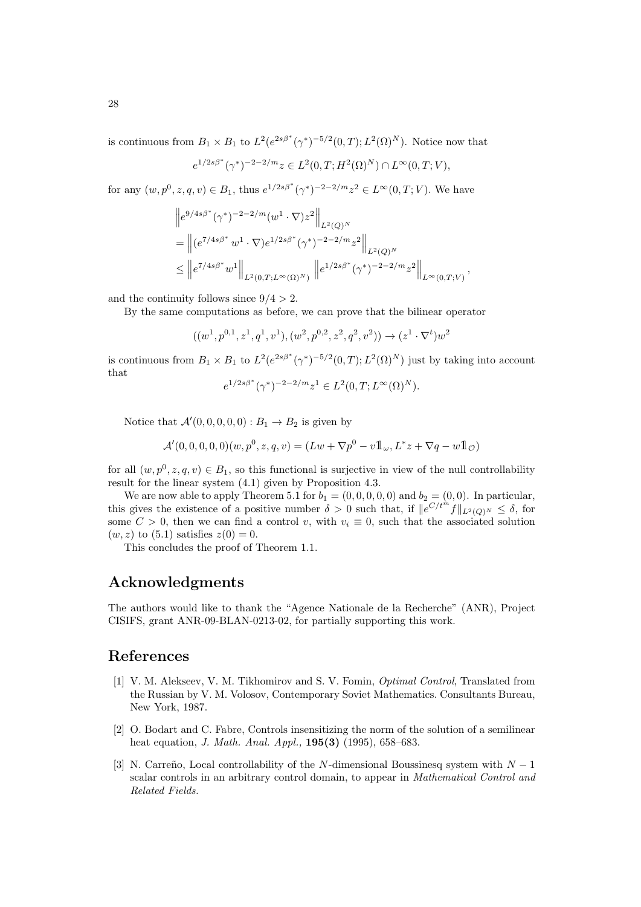is continuous from  $B_1 \times B_1$  to  $L^2(e^{2s\beta^*}(\gamma^*)^{-5/2}(0,T); L^2(\Omega)^N)$ . Notice now that

$$
e^{1/2s\beta^*}(\gamma^*)^{-2-2/m}z \in L^2(0,T;H^2(\Omega)^N) \cap L^\infty(0,T;V),
$$

for any  $(w, p^0, z, q, v) \in B_1$ , thus  $e^{1/2s\beta^*}(\gamma^*)^{-2-2/m}z^2 \in L^\infty(0, T; V)$ . We have

$$
\|e^{9/4s\beta^*}(\gamma^*)^{-2-2/m}(w^1\cdot\nabla)z^2\|_{L^2(Q)^N}
$$
  
=  $\|(e^{7/4s\beta^*}w^1\cdot\nabla)e^{1/2s\beta^*}(\gamma^*)^{-2-2/m}z^2\|_{L^2(Q)^N}$   
 $\leq \|e^{7/4s\beta^*}w^1\|_{L^2(0,T;L^{\infty}(\Omega)^N)}$   $\|e^{1/2s\beta^*}(\gamma^*)^{-2-2/m}z^2\|_{L^{\infty}(0,T;V)},$ 

and the continuity follows since  $9/4 > 2$ .

By the same computations as before, we can prove that the bilinear operator

$$
((w^1, p^{0,1}, z^1, q^1, v^1), (w^2, p^{0,2}, z^2, q^2, v^2)) \rightarrow (z^1 \cdot \nabla^t) w^2
$$

is continuous from  $B_1 \times B_1$  to  $L^2(e^{2s\beta^*}(\gamma^*)^{-5/2}(0,T); L^2(\Omega)^N)$  just by taking into account that

$$
e^{1/2s\beta^*}(\gamma^*)^{-2-2/m}z^1\in L^2(0,T;L^\infty(\Omega)^N).
$$

Notice that  $\mathcal{A}'(0,0,0,0,0) : B_1 \to B_2$  is given by

$$
\mathcal{A}'(0,0,0,0,0)(w,p^{0},z,q,v) = (Lw + \nabla p^{0} - v \mathbb{1}_{\omega}, L^{*}z + \nabla q - w \mathbb{1}_{\mathcal{O}})
$$

for all  $(w, p^0, z, q, v) \in B_1$ , so this functional is surjective in view of the null controllability result for the linear system (4.1) given by Proposition 4.3.

We are now able to apply Theorem 5.1 for  $b_1 = (0, 0, 0, 0, 0)$  and  $b_2 = (0, 0)$ . In particular, this gives the existence of a positive number  $\delta > 0$  such that, if  $\|\overline{e}^{C/t^m}f\|_{L^2(Q)} \leq \delta$ , for some  $C > 0$ , then we can find a control v, with  $v_i \equiv 0$ , such that the associated solution  $(w, z)$  to  $(5.1)$  satisfies  $z(0) = 0$ .

This concludes the proof of Theorem 1.1.

# Acknowledgments

The authors would like to thank the "Agence Nationale de la Recherche" (ANR), Project CISIFS, grant ANR-09-BLAN-0213-02, for partially supporting this work.

### References

- [1] V. M. Alekseev, V. M. Tikhomirov and S. V. Fomin, Optimal Control, Translated from the Russian by V. M. Volosov, Contemporary Soviet Mathematics. Consultants Bureau, New York, 1987.
- [2] O. Bodart and C. Fabre, Controls insensitizing the norm of the solution of a semilinear heat equation, *J. Math. Anal. Appl.*, **195(3)** (1995), 658–683.
- [3] N. Carreño, Local controllability of the N-dimensional Boussinesq system with  $N-1$ scalar controls in an arbitrary control domain, to appear in Mathematical Control and Related Fields.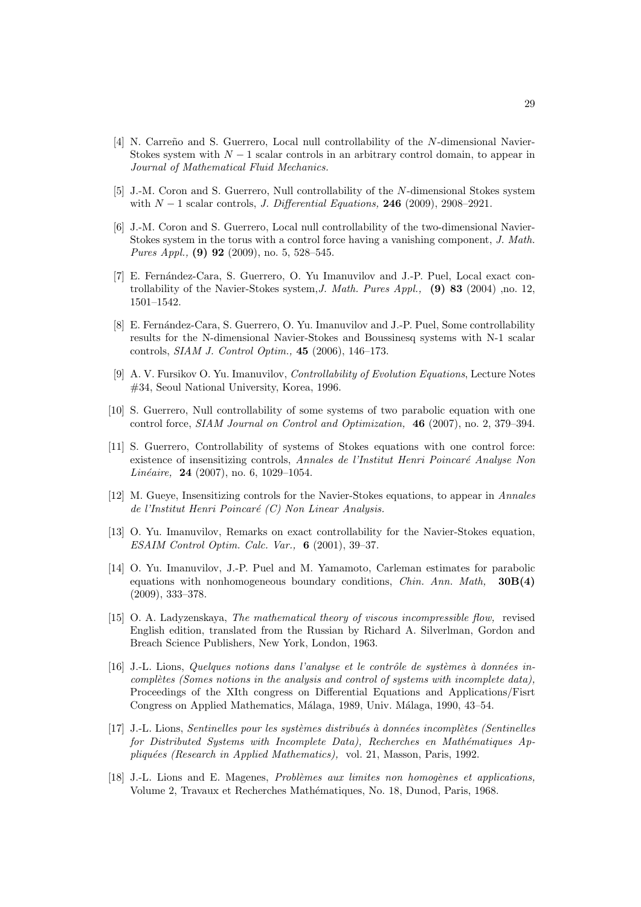- [4] N. Carreño and S. Guerrero, Local null controllability of the N-dimensional Navier-Stokes system with  $N-1$  scalar controls in an arbitrary control domain, to appear in Journal of Mathematical Fluid Mechanics.
- [5] J.-M. Coron and S. Guerrero, Null controllability of the N-dimensional Stokes system with  $N-1$  scalar controls, *J. Differential Equations*, **246** (2009), 2908–2921.
- [6] J.-M. Coron and S. Guerrero, Local null controllability of the two-dimensional Navier-Stokes system in the torus with a control force having a vanishing component, J. Math. Pures Appl., (9) 92 (2009), no. 5, 528-545.
- [7] E. Fernández-Cara, S. Guerrero, O. Yu Imanuvilov and J.-P. Puel, Local exact controllability of the Navier-Stokes system, J. Math. Pures Appl.,  $(9)$  83 (2004), no. 12, 1501–1542.
- [8] E. Fernández-Cara, S. Guerrero, O. Yu. Imanuvilov and J.-P. Puel, Some controllability results for the N-dimensional Navier-Stokes and Boussinesq systems with N-1 scalar controls, SIAM J. Control Optim., 45 (2006), 146–173.
- [9] A. V. Fursikov O. Yu. Imanuvilov, Controllability of Evolution Equations, Lecture Notes #34, Seoul National University, Korea, 1996.
- [10] S. Guerrero, Null controllability of some systems of two parabolic equation with one control force, SIAM Journal on Control and Optimization, 46 (2007), no. 2, 379–394.
- [11] S. Guerrero, Controllability of systems of Stokes equations with one control force: existence of insensitizing controls, Annales de l'Institut Henri Poincaré Analyse Non Linéaire, 24 (2007), no. 6, 1029–1054.
- [12] M. Gueve, Insensitizing controls for the Navier-Stokes equations, to appear in Annales de l'Institut Henri Poincaré  $(C)$  Non Linear Analysis.
- [13] O. Yu. Imanuvilov, Remarks on exact controllability for the Navier-Stokes equation, ESAIM Control Optim. Calc. Var.,  $6$  (2001), 39-37.
- [14] O. Yu. Imanuvilov, J.-P. Puel and M. Yamamoto, Carleman estimates for parabolic equations with nonhomogeneous boundary conditions, *Chin. Ann. Math*,  $30B(4)$ (2009), 333–378.
- [15] O. A. Ladyzenskaya, The mathematical theory of viscous incompressible flow, revised English edition, translated from the Russian by Richard A. Silverlman, Gordon and Breach Science Publishers, New York, London, 1963.
- $[16]$  J.-L. Lions, Quelques notions dans l'analyse et le contrôle de systèmes à données incomplètes (Somes notions in the analysis and control of systems with incomplete data), Proceedings of the XIth congress on Differential Equations and Applications/Fisrt Congress on Applied Mathematics, Málaga, 1989, Univ. Málaga, 1990, 43–54.
- [17] J.-L. Lions, Sentinelles pour les systèmes distribués à données incomplètes (Sentinelles for Distributed Systems with Incomplete Data), Recherches en Mathématiques Appliquées (Research in Applied Mathematics), vol. 21, Masson, Paris, 1992.
- [18] J.-L. Lions and E. Magenes, *Problèmes aux limites non homogènes et applications*, Volume 2, Travaux et Recherches Math´ematiques, No. 18, Dunod, Paris, 1968.